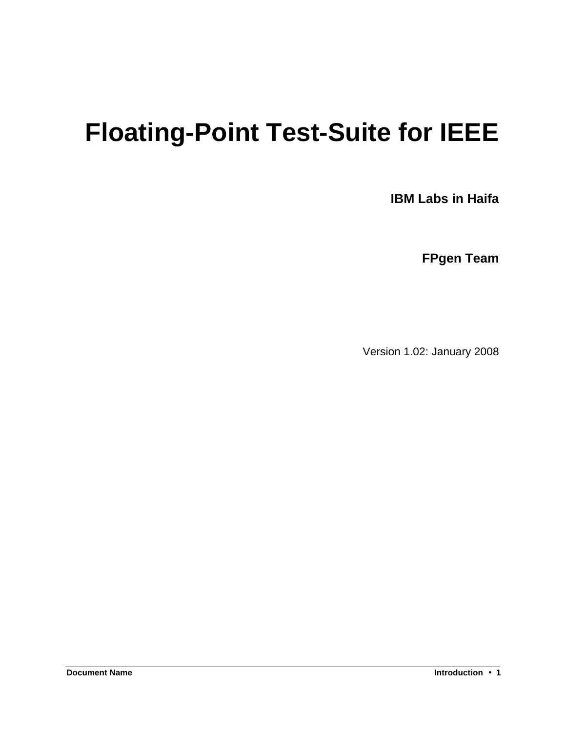# **Floating-Point Test-Suite for IEEE**

**IBM Labs in Haifa**

**FPgen Team**

Version 1.02: January 2008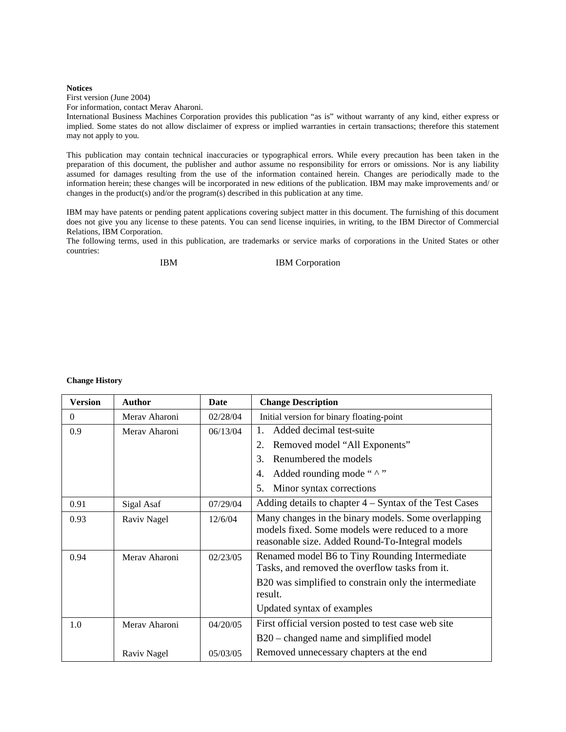#### **Notices**

First version (June 2004)

For information, contact Merav Aharoni.

International Business Machines Corporation provides this publication "as is" without warranty of any kind, either express or implied. Some states do not allow disclaimer of express or implied warranties in certain transactions; therefore this statement may not apply to you.

This publication may contain technical inaccuracies or typographical errors. While every precaution has been taken in the preparation of this document, the publisher and author assume no responsibility for errors or omissions. Nor is any liability assumed for damages resulting from the use of the information contained herein. Changes are periodically made to the information herein; these changes will be incorporated in new editions of the publication. IBM may make improvements and/ or changes in the product(s) and/or the program(s) described in this publication at any time.

IBM may have patents or pending patent applications covering subject matter in this document. The furnishing of this document does not give you any license to these patents. You can send license inquiries, in writing, to the IBM Director of Commercial Relations, IBM Corporation.

The following terms, used in this publication, are trademarks or service marks of corporations in the United States or other countries:

IBM IBM Corporation

#### **Change History**

| <b>Version</b> | Author        | Date     | <b>Change Description</b>                                                                                                                                  |  |
|----------------|---------------|----------|------------------------------------------------------------------------------------------------------------------------------------------------------------|--|
| $\Omega$       | Merav Aharoni | 02/28/04 | Initial version for binary floating-point                                                                                                                  |  |
| 0.9            | Meray Aharoni | 06/13/04 | Added decimal test-suite<br>$\mathbf{1}$ .                                                                                                                 |  |
|                |               |          | Removed model "All Exponents"<br>2.                                                                                                                        |  |
|                |               |          | Renumbered the models<br>3.                                                                                                                                |  |
|                |               |          | Added rounding mode " $\wedge$ "<br>4.                                                                                                                     |  |
|                |               |          | Minor syntax corrections<br>5.                                                                                                                             |  |
| 0.91           | Sigal Asaf    | 07/29/04 | Adding details to chapter $4 -$ Syntax of the Test Cases                                                                                                   |  |
| 0.93           | Raviv Nagel   | 12/6/04  | Many changes in the binary models. Some overlapping<br>models fixed. Some models were reduced to a more<br>reasonable size. Added Round-To-Integral models |  |
| 0.94           | Merav Aharoni | 02/23/05 | Renamed model B6 to Tiny Rounding Intermediate<br>Tasks, and removed the overflow tasks from it.                                                           |  |
|                |               |          | B20 was simplified to constrain only the intermediate<br>result.                                                                                           |  |
|                |               |          | Updated syntax of examples                                                                                                                                 |  |
| 1.0            | Merav Aharoni | 04/20/05 | First official version posted to test case web site                                                                                                        |  |
|                |               |          | B20 – changed name and simplified model                                                                                                                    |  |
|                | Raviv Nagel   | 05/03/05 | Removed unnecessary chapters at the end                                                                                                                    |  |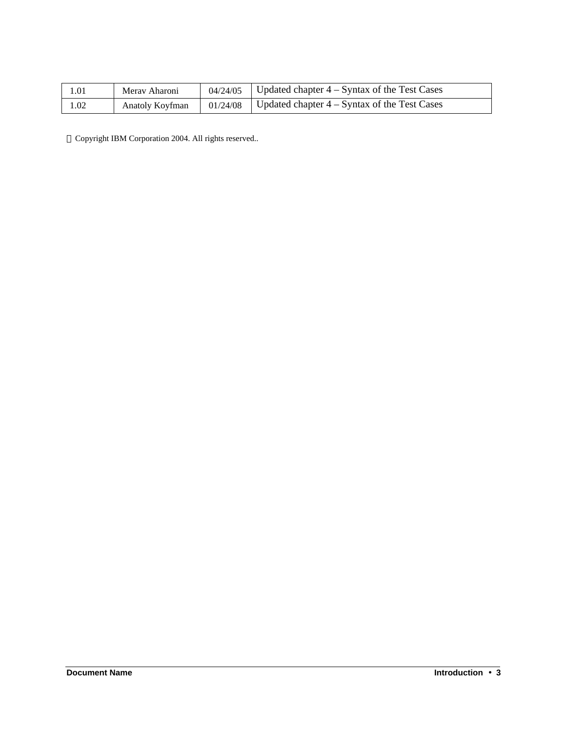| 1.01 | Meray Aharoni   | 04/24/05 | Updated chapter $4 -$ Syntax of the Test Cases |
|------|-----------------|----------|------------------------------------------------|
| 1.02 | Anatoly Koyfman | 01/24/08 | Updated chapter $4 -$ Syntax of the Test Cases |

Copyright IBM Corporation 2004. All rights reserved..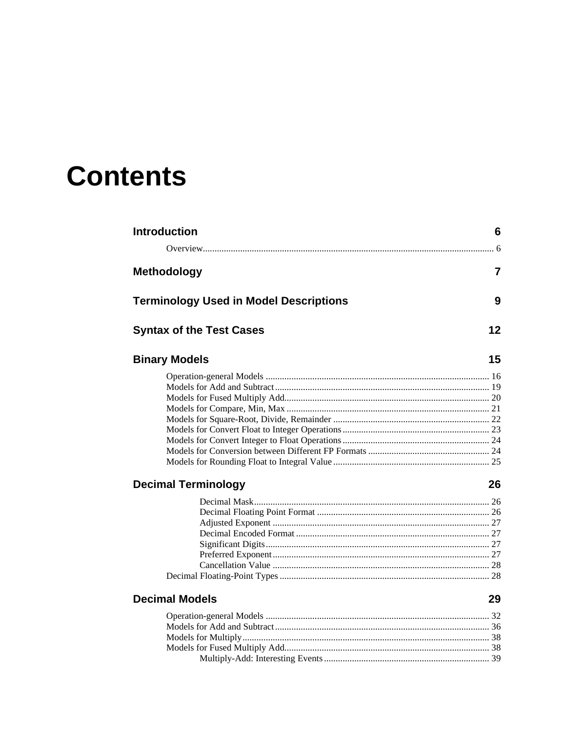# **Contents**

| <b>Introduction</b>                           | 6              |
|-----------------------------------------------|----------------|
|                                               |                |
| <b>Methodology</b>                            | $\overline{7}$ |
| <b>Terminology Used in Model Descriptions</b> | 9              |
| <b>Syntax of the Test Cases</b>               | 12             |
| <b>Binary Models</b>                          | 15             |
|                                               |                |
|                                               |                |
|                                               |                |
|                                               |                |
|                                               |                |
|                                               |                |
|                                               |                |
|                                               |                |
|                                               |                |
| <b>Decimal Terminology</b>                    | 26             |
|                                               |                |
|                                               |                |
|                                               |                |
|                                               |                |
|                                               |                |
|                                               |                |
|                                               |                |
|                                               |                |
| <b>Decimal Models</b>                         | 29             |
|                                               |                |
|                                               |                |
|                                               |                |
|                                               |                |
|                                               |                |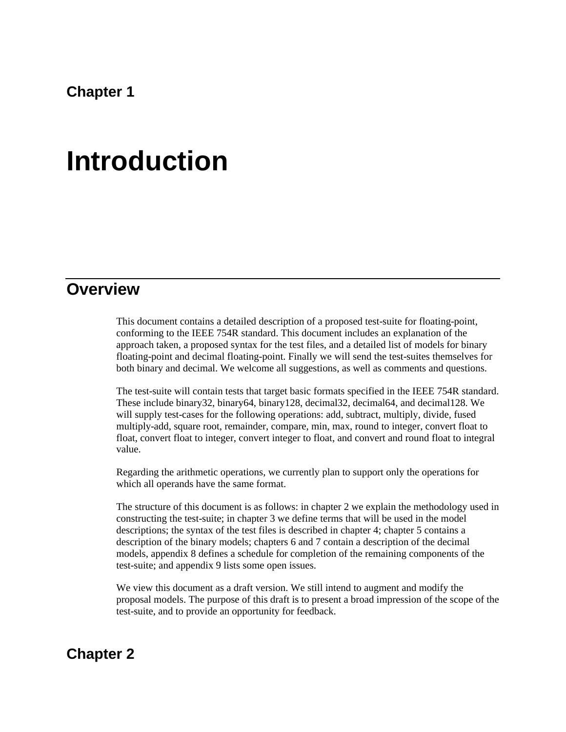**Chapter 1** 

# **Introduction**

### **Overview**

This document contains a detailed description of a proposed test-suite for floating-point, conforming to the IEEE 754R standard. This document includes an explanation of the approach taken, a proposed syntax for the test files, and a detailed list of models for binary floating-point and decimal floating-point. Finally we will send the test-suites themselves for both binary and decimal. We welcome all suggestions, as well as comments and questions.

The test-suite will contain tests that target basic formats specified in the IEEE 754R standard. These include binary32, binary64, binary128, decimal32, decimal64, and decimal128. We will supply test-cases for the following operations: add, subtract, multiply, divide, fused multiply-add, square root, remainder, compare, min, max, round to integer, convert float to float, convert float to integer, convert integer to float, and convert and round float to integral value.

Regarding the arithmetic operations, we currently plan to support only the operations for which all operands have the same format.

The structure of this document is as follows: in chapter 2 we explain the methodology used in constructing the test-suite; in chapter 3 we define terms that will be used in the model descriptions; the syntax of the test files is described in chapter 4; chapter 5 contains a description of the binary models; chapters 6 and 7 contain a description of the decimal models, appendix 8 defines a schedule for completion of the remaining components of the test-suite; and appendix 9 lists some open issues.

We view this document as a draft version. We still intend to augment and modify the proposal models. The purpose of this draft is to present a broad impression of the scope of the test-suite, and to provide an opportunity for feedback.

### **Chapter 2**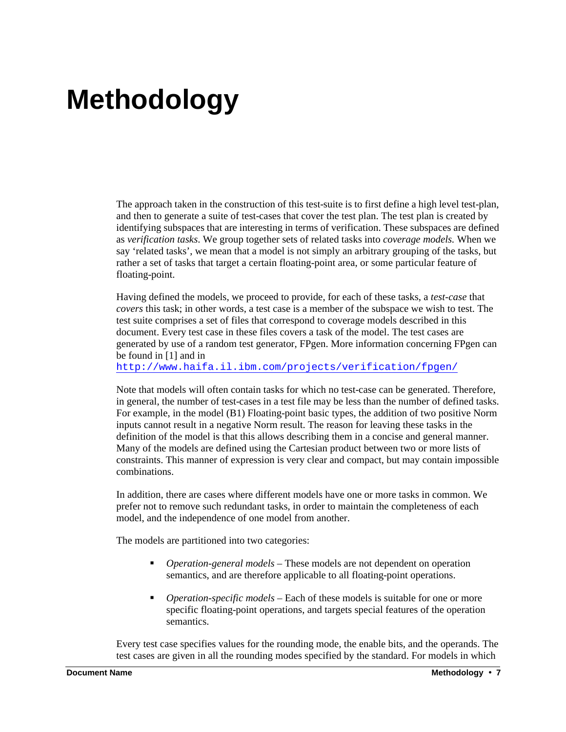# **Methodology**

The approach taken in the construction of this test-suite is to first define a high level test-plan, and then to generate a suite of test-cases that cover the test plan. The test plan is created by identifying subspaces that are interesting in terms of verification. These subspaces are defined as *verification tasks*. We group together sets of related tasks into *coverage models.* When we say 'related tasks', we mean that a model is not simply an arbitrary grouping of the tasks, but rather a set of tasks that target a certain floating-point area, or some particular feature of floating-point.

Having defined the models, we proceed to provide, for each of these tasks, a *test-case* that *covers* this task; in other words, a test case is a member of the subspace we wish to test. The test suite comprises a set of files that correspond to coverage models described in this document. Every test case in these files covers a task of the model. The test cases are generated by use of a random test generator, FPgen. More information concerning FPgen can be found in [1] and in

http://www.haifa.il.ibm.com/projects/verification/fpgen/

Note that models will often contain tasks for which no test-case can be generated. Therefore, in general, the number of test-cases in a test file may be less than the number of defined tasks. For example, in the model (B1) Floating-point basic types, the addition of two positive Norm inputs cannot result in a negative Norm result. The reason for leaving these tasks in the definition of the model is that this allows describing them in a concise and general manner. Many of the models are defined using the Cartesian product between two or more lists of constraints. This manner of expression is very clear and compact, but may contain impossible combinations.

In addition, there are cases where different models have one or more tasks in common. We prefer not to remove such redundant tasks, in order to maintain the completeness of each model, and the independence of one model from another.

The models are partitioned into two categories:

- ß *Operation-general models* These models are not dependent on operation semantics, and are therefore applicable to all floating-point operations.
- **•** Operation-specific models Each of these models is suitable for one or more specific floating-point operations, and targets special features of the operation semantics.

Every test case specifies values for the rounding mode, the enable bits, and the operands. The test cases are given in all the rounding modes specified by the standard. For models in which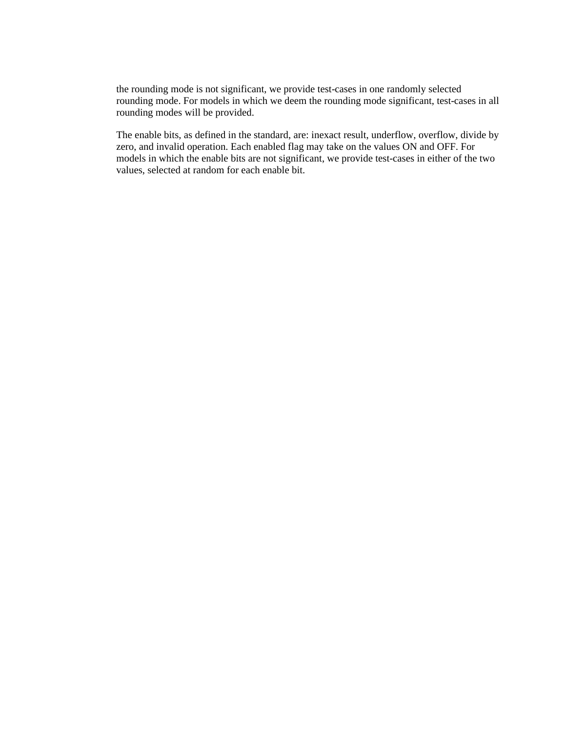the rounding mode is not significant, we provide test-cases in one randomly selected rounding mode. For models in which we deem the rounding mode significant, test-cases in all rounding modes will be provided.

The enable bits, as defined in the standard, are: inexact result, underflow, overflow, divide by zero, and invalid operation. Each enabled flag may take on the values ON and OFF. For models in which the enable bits are not significant, we provide test-cases in either of the two values, selected at random for each enable bit.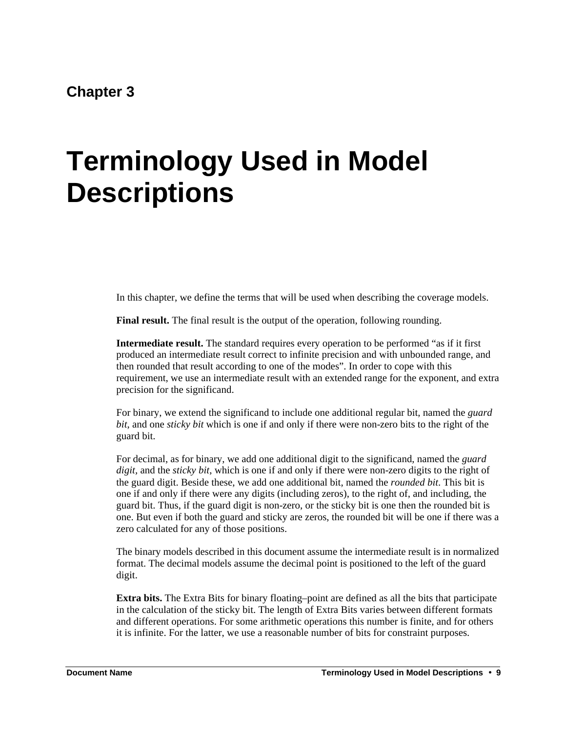### **Chapter 3**

# **Terminology Used in Model Descriptions**

In this chapter, we define the terms that will be used when describing the coverage models.

**Final result.** The final result is the output of the operation, following rounding.

**Intermediate result.** The standard requires every operation to be performed "as if it first produced an intermediate result correct to infinite precision and with unbounded range, and then rounded that result according to one of the modes". In order to cope with this requirement, we use an intermediate result with an extended range for the exponent, and extra precision for the significand.

For binary, we extend the significand to include one additional regular bit, named the *guard bit*, and one *sticky bit* which is one if and only if there were non-zero bits to the right of the guard bit.

For decimal, as for binary, we add one additional digit to the significand, named the *guard digit,* and the *sticky bit*, which is one if and only if there were non-zero digits to the right of the guard digit. Beside these, we add one additional bit, named the *rounded bit*. This bit is one if and only if there were any digits (including zeros), to the right of, and including, the guard bit. Thus, if the guard digit is non-zero, or the sticky bit is one then the rounded bit is one. But even if both the guard and sticky are zeros, the rounded bit will be one if there was a zero calculated for any of those positions.

The binary models described in this document assume the intermediate result is in normalized format. The decimal models assume the decimal point is positioned to the left of the guard digit.

**Extra bits.** The Extra Bits for binary floating–point are defined as all the bits that participate in the calculation of the sticky bit. The length of Extra Bits varies between different formats and different operations. For some arithmetic operations this number is finite, and for others it is infinite. For the latter, we use a reasonable number of bits for constraint purposes.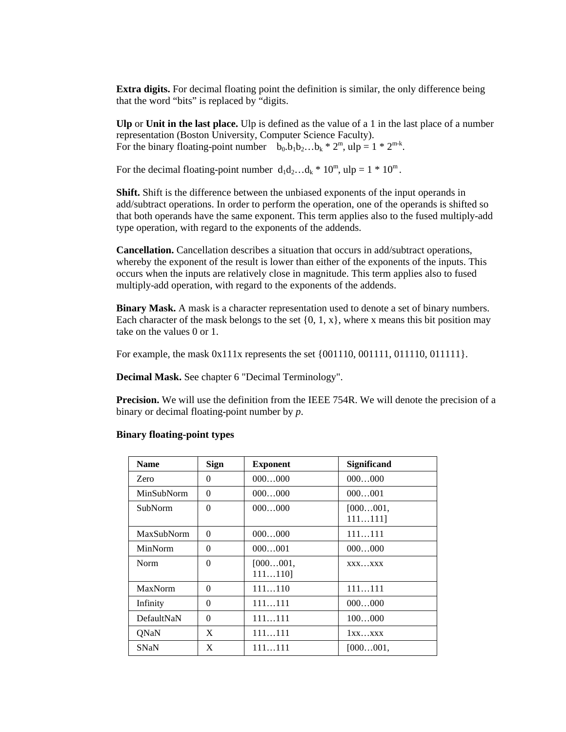**Extra digits.** For decimal floating point the definition is similar, the only difference being that the word "bits" is replaced by "digits.

**Ulp** or **Unit in the last place.** Ulp is defined as the value of a 1 in the last place of a number representation (Boston University, Computer Science Faculty). For the binary floating-point number  $b_0, b_1b_2...b_k * 2^m$ , ulp = 1  $* 2^{m-k}$ .

For the decimal floating-point number  $d_1d_2...d_k * 10^m$ , ulp =  $1 * 10^m$ .

**Shift.** Shift is the difference between the unbiased exponents of the input operands in add/subtract operations. In order to perform the operation, one of the operands is shifted so that both operands have the same exponent. This term applies also to the fused multiply-add type operation, with regard to the exponents of the addends.

**Cancellation.** Cancellation describes a situation that occurs in add/subtract operations, whereby the exponent of the result is lower than either of the exponents of the inputs. This occurs when the inputs are relatively close in magnitude. This term applies also to fused multiply-add operation, with regard to the exponents of the addends.

**Binary Mask.** A mask is a character representation used to denote a set of binary numbers. Each character of the mask belongs to the set  $\{0, 1, x\}$ , where x means this bit position may take on the values 0 or 1.

For example, the mask 0x111x represents the set {001110, 001111, 011110, 011111}.

**Decimal Mask.** See chapter 6 "Decimal Terminology".

**Precision.** We will use the definition from the IEEE 754R. We will denote the precision of a binary or decimal floating-point number by *p*.

| <b>Name</b>    | <b>Sign</b> | <b>Exponent</b>        | <b>Significand</b>  |
|----------------|-------------|------------------------|---------------------|
| Zero           | 0           | 000000                 | 000000              |
| MinSubNorm     | $\Omega$    | 000000                 | 000001              |
| <b>SubNorm</b> | $\Omega$    | 000000                 | [000001]<br>111111] |
| MaxSubNorm     | $\Omega$    | 000000                 | 111111              |
| MinNorm        | 0           | 000001                 | 000000              |
| <b>Norm</b>    | $\Omega$    | [000001,<br>$111110$ ] | XXXXXX              |
| <b>MaxNorm</b> | $\Omega$    | 111110                 | 111111              |
| Infinity       | 0           | 111111                 | 000000              |
| DefaultNaN     | $\Omega$    | 111111                 | 100000              |
| ONaN           | X           | 111111                 | 1xxxxx              |
| <b>SNaN</b>    | X           | 111111                 | [000001]            |

#### **Binary floating-point types**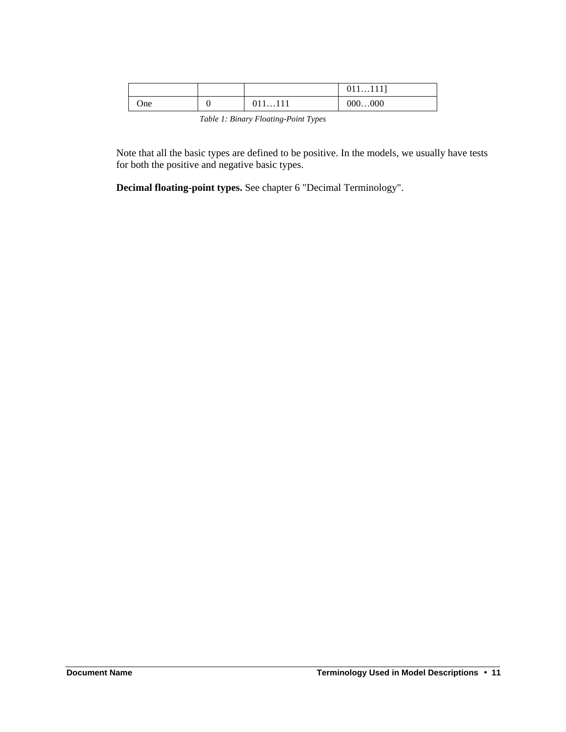|      |           |          | $011111$ ] |
|------|-----------|----------|------------|
| One. |           | 011111   | 000000     |
|      | _ _ _ _ _ | $-$<br>. |            |

*Table 1: Binary Floating-Point Types*

Note that all the basic types are defined to be positive. In the models, we usually have tests for both the positive and negative basic types.

**Decimal floating-point types.** See chapter 6 "Decimal Terminology".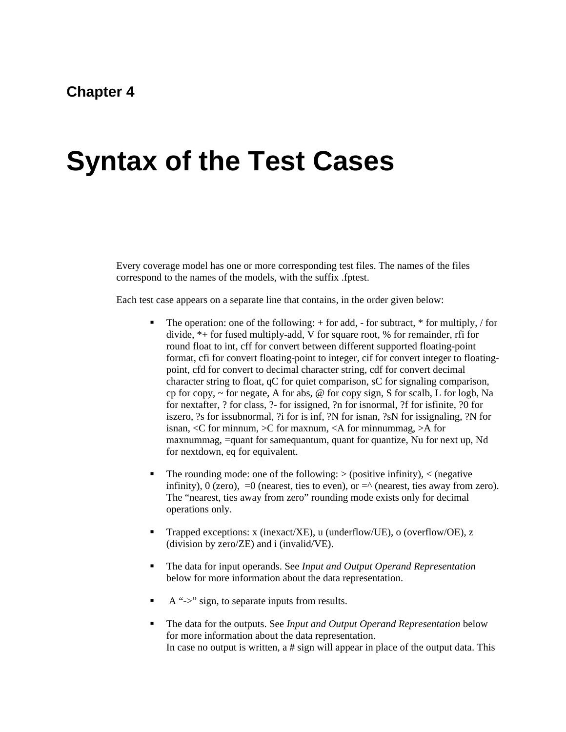### **Chapter 4**

# **Syntax of the Test Cases**

Every coverage model has one or more corresponding test files. The names of the files correspond to the names of the models, with the suffix .fptest.

Each test case appears on a separate line that contains, in the order given below:

- The operation: one of the following:  $+$  for add,  $-$  for subtract,  $*$  for multiply,  $/$  for divide, \*+ for fused multiply-add, V for square root, % for remainder, rfi for round float to int, cff for convert between different supported floating-point format, cfi for convert floating-point to integer, cif for convert integer to floatingpoint, cfd for convert to decimal character string, cdf for convert decimal character string to float, qC for quiet comparison, sC for signaling comparison, cp for copy,  $\sim$  for negate, A for abs, @ for copy sign, S for scalb, L for logb, Na for nextafter, ? for class, ?- for issigned, ?n for isnormal, ?f for isfinite, ?0 for iszero, ?s for issubnormal, ?i for is inf, ?N for isnan, ?sN for issignaling, ?N for isnan,  $\langle C \rangle$  for minnum,  $\langle C \rangle$  for maxnum,  $\langle A \rangle$  for minnummag,  $\langle A \rangle$  for maxnummag, =quant for samequantum, quant for quantize, Nu for next up, Nd for nextdown, eq for equivalent.
- The rounding mode: one of the following:  $>$  (positive infinity),  $<$  (negative infinity),  $0$  (zero),  $=0$  (nearest, ties to even), or  $=$  (nearest, ties away from zero). The "nearest, ties away from zero" rounding mode exists only for decimal operations only.
- ß Trapped exceptions: x (inexact/XE), u (underflow/UE), o (overflow/OE), z (division by zero/ZE) and i (invalid/VE).
- ß The data for input operands. See *Input and Output Operand Representation* below for more information about the data representation.
- ß A "->" sign, to separate inputs from results.
- ß The data for the outputs. See *Input and Output Operand Representation* below for more information about the data representation. In case no output is written, a # sign will appear in place of the output data. This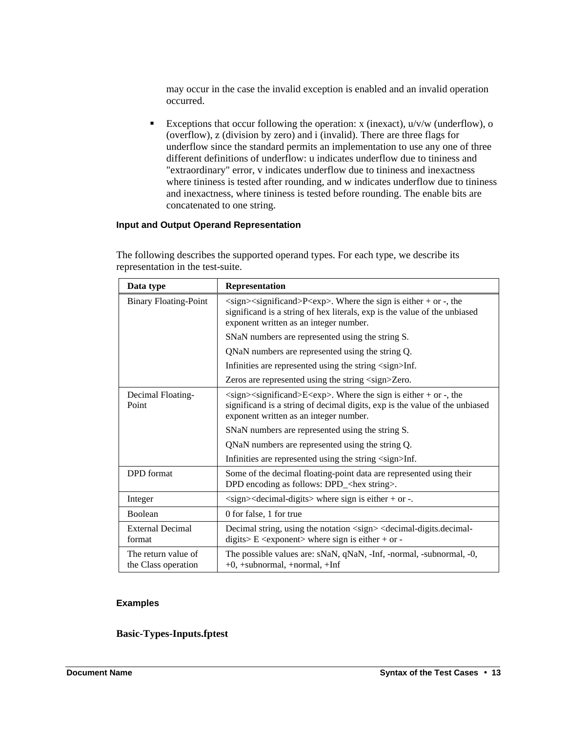may occur in the case the invalid exception is enabled and an invalid operation occurred.

Exceptions that occur following the operation: x (inexact),  $u/v/w$  (underflow), o (overflow), z (division by zero) and i (invalid). There are three flags for underflow since the standard permits an implementation to use any one of three different definitions of underflow: u indicates underflow due to tininess and "extraordinary" error, v indicates underflow due to tininess and inexactness where tininess is tested after rounding, and w indicates underflow due to tininess and inexactness, where tininess is tested before rounding. The enable bits are concatenated to one string.

#### **Input and Output Operand Representation**

| Data type                                  | Representation                                                                                                                                                                                                                          |  |
|--------------------------------------------|-----------------------------------------------------------------------------------------------------------------------------------------------------------------------------------------------------------------------------------------|--|
| <b>Binary Floating-Point</b>               | $\langle$ sign $>\langle$ significand $\rangle$ P $\langle$ exp $\rangle$ . Where the sign is either + or -, the<br>significand is a string of hex literals, exp is the value of the unbiased<br>exponent written as an integer number. |  |
|                                            | SNaN numbers are represented using the string S.                                                                                                                                                                                        |  |
|                                            | QNaN numbers are represented using the string Q.                                                                                                                                                                                        |  |
|                                            | Infinities are represented using the string <sign>Inf.</sign>                                                                                                                                                                           |  |
|                                            | Zeros are represented using the string <sign>Zero.</sign>                                                                                                                                                                               |  |
| Decimal Floating-<br>Point                 | $\langle$ sign> $\langle$ significand>E $\langle$ exp>. Where the sign is either + or -, the<br>significand is a string of decimal digits, exp is the value of the unbiased<br>exponent written as an integer number.                   |  |
|                                            | SNaN numbers are represented using the string S.                                                                                                                                                                                        |  |
|                                            | QNaN numbers are represented using the string Q.                                                                                                                                                                                        |  |
|                                            | Infinities are represented using the string <sign>Inf.</sign>                                                                                                                                                                           |  |
| <b>DPD</b> format                          | Some of the decimal floating-point data are represented using their<br>DPD encoding as follows: DPD_ <hex string="">.</hex>                                                                                                             |  |
| Integer                                    | $\langle$ sign $>\langle$ decimal-digits $>$ where sign is either + or -.                                                                                                                                                               |  |
| <b>Boolean</b>                             | 0 for false, 1 for true                                                                                                                                                                                                                 |  |
| <b>External Decimal</b><br>format          | Decimal string, using the notation <sign> <decimal-digits.decimal-<br>digits&gt; <math>E \le</math> <exponent> where sign is either + or -</exponent></decimal-digits.decimal-<br></sign>                                               |  |
| The return value of<br>the Class operation | The possible values are: sNaN, qNaN, -Inf, -normal, -subnormal, -0,<br>$+0$ , +subnormal, +normal, +Inf                                                                                                                                 |  |

The following describes the supported operand types. For each type, we describe its representation in the test-suite.

#### **Examples**

**Basic-Types-Inputs.fptest**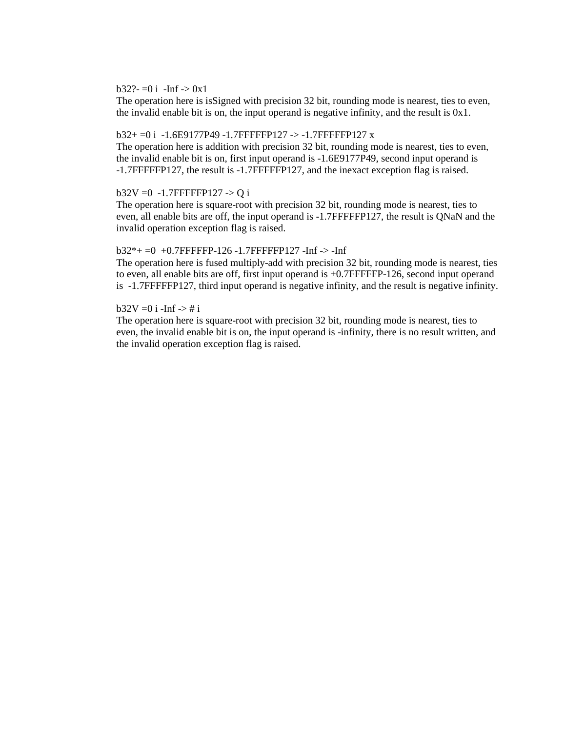#### $b32? = 0$  i -Inf -> 0x1

The operation here is isSigned with precision 32 bit, rounding mode is nearest, ties to even, the invalid enable bit is on, the input operand is negative infinity, and the result is 0x1.

#### b32+ =0 i -1.6E9177P49 -1.7FFFFFP127 -> -1.7FFFFFP127 x

The operation here is addition with precision 32 bit, rounding mode is nearest, ties to even, the invalid enable bit is on, first input operand is -1.6E9177P49, second input operand is -1.7FFFFFP127, the result is -1.7FFFFFP127, and the inexact exception flag is raised.

#### b32V = 0 -1.7FFFFFP127 -> Q i

The operation here is square-root with precision 32 bit, rounding mode is nearest, ties to even, all enable bits are off, the input operand is -1.7FFFFFP127, the result is QNaN and the invalid operation exception flag is raised.

#### $b32*+ = 0 +0.7$ FFFFFP-126 -1.7FFFFFFP127 -Inf -> -Inf

The operation here is fused multiply-add with precision 32 bit, rounding mode is nearest, ties to even, all enable bits are off, first input operand is +0.7FFFFFP-126, second input operand is -1.7FFFFFP127, third input operand is negative infinity, and the result is negative infinity.

#### $b32V = 0 i$  -Inf  $\rightarrow \# i$

The operation here is square-root with precision 32 bit, rounding mode is nearest, ties to even, the invalid enable bit is on, the input operand is -infinity, there is no result written, and the invalid operation exception flag is raised.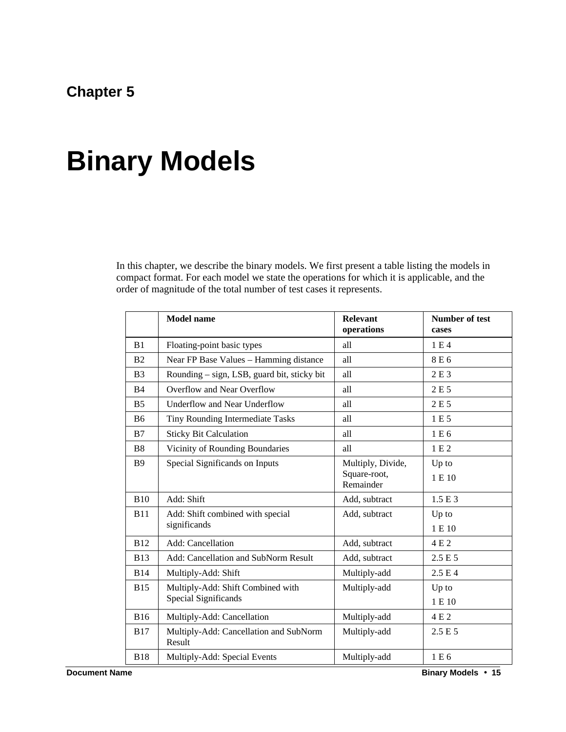## **Chapter 5**

# **Binary Models**

In this chapter, we describe the binary models. We first present a table listing the models in compact format. For each model we state the operations for which it is applicable, and the order of magnitude of the total number of test cases it represents.

|                | <b>Model name</b>                                         | <b>Relevant</b><br>operations                  | <b>Number of test</b><br>cases |
|----------------|-----------------------------------------------------------|------------------------------------------------|--------------------------------|
| B1             | Floating-point basic types                                | all                                            | 1E4                            |
| B <sub>2</sub> | Near FP Base Values - Hamming distance                    | all                                            | 8 E 6                          |
| B <sub>3</sub> | Rounding – sign, LSB, guard bit, sticky bit               | all                                            | 2 E 3                          |
| B <sub>4</sub> | Overflow and Near Overflow                                | all                                            | 2 E 5                          |
| B <sub>5</sub> | <b>Underflow and Near Underflow</b>                       | all                                            | 2E5                            |
| <b>B6</b>      | Tiny Rounding Intermediate Tasks                          | all                                            | 1 E 5                          |
| B7             | <b>Sticky Bit Calculation</b>                             | all                                            | 1 E 6                          |
| <b>B8</b>      | Vicinity of Rounding Boundaries                           | all                                            | 1E2                            |
| <b>B</b> 9     | Special Significands on Inputs                            | Multiply, Divide,<br>Square-root,<br>Remainder | Up to<br>1 E 10                |
| <b>B10</b>     | Add: Shift                                                | Add, subtract                                  | 1.5E3                          |
| <b>B11</b>     | Add: Shift combined with special<br>significands          | Add, subtract                                  | Up to<br>1 E 10                |
| <b>B12</b>     | Add: Cancellation                                         | Add, subtract                                  | 4 E 2                          |
| <b>B13</b>     | Add: Cancellation and SubNorm Result                      | Add, subtract                                  | 2.5E5                          |
| <b>B14</b>     | Multiply-Add: Shift                                       | Multiply-add                                   | 2.5 E 4                        |
| <b>B15</b>     | Multiply-Add: Shift Combined with<br>Special Significands | Multiply-add                                   | Up to<br>1 E 10                |
| <b>B16</b>     | Multiply-Add: Cancellation                                | Multiply-add                                   | 4 E 2                          |
| <b>B17</b>     | Multiply-Add: Cancellation and SubNorm<br>Result          | Multiply-add                                   | 2.5 E 5                        |
| <b>B18</b>     | Multiply-Add: Special Events                              | Multiply-add                                   | 1 E 6                          |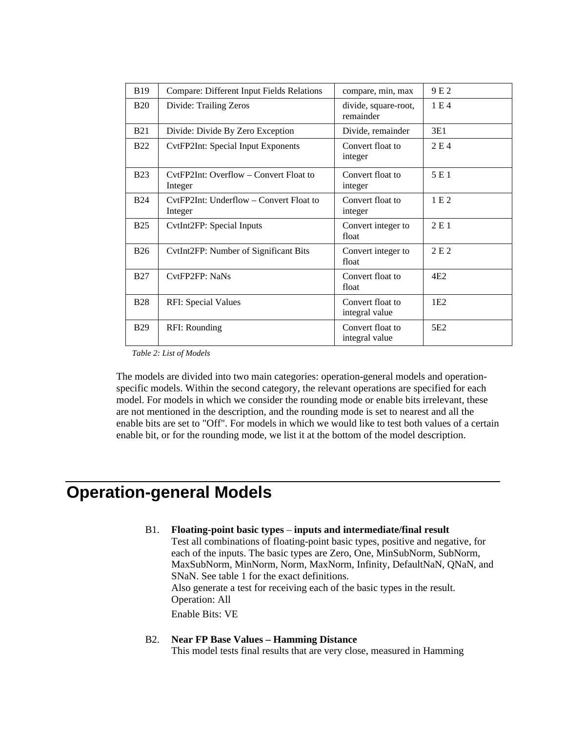| <b>B</b> 19 | <b>Compare: Different Input Fields Relations</b>   | compare, min, max                  | 9E <sub>2</sub> |
|-------------|----------------------------------------------------|------------------------------------|-----------------|
| <b>B20</b>  | Divide: Trailing Zeros                             | divide, square-root,<br>remainder  | 1E4             |
| <b>B21</b>  | Divide: Divide By Zero Exception                   | Divide, remainder                  | 3E1             |
| <b>B22</b>  | <b>CvtFP2Int: Special Input Exponents</b>          | Convert float to<br>integer        | 2 E 4           |
| <b>B23</b>  | CytFP2Int: Overflow – Convert Float to<br>Integer  | Convert float to<br>integer        | 5 E 1           |
| <b>B24</b>  | CytFP2Int: Underflow – Convert Float to<br>Integer | Convert float to<br>integer        | 1E2             |
| <b>B25</b>  | CytInt2FP: Special Inputs                          | Convert integer to<br>float        | 2E1             |
| <b>B26</b>  | CvtInt2FP: Number of Significant Bits              | Convert integer to<br>float        | 2 E 2           |
| <b>B27</b>  | CytFP2FP: NaNs                                     | Convert float to<br>float          | 4E2             |
| <b>B28</b>  | <b>RFI: Special Values</b>                         | Convert float to<br>integral value | 1E2             |
| <b>B29</b>  | RFI: Rounding                                      | Convert float to<br>integral value | 5E <sub>2</sub> |

*Table 2: List of Models*

The models are divided into two main categories: operation-general models and operationspecific models. Within the second category, the relevant operations are specified for each model. For models in which we consider the rounding mode or enable bits irrelevant, these are not mentioned in the description, and the rounding mode is set to nearest and all the enable bits are set to "Off". For models in which we would like to test both values of a certain enable bit, or for the rounding mode, we list it at the bottom of the model description.

### **Operation-general Models**

#### B1. **Floating-point basic types** – **inputs and intermediate/final result**

Test all combinations of floating-point basic types, positive and negative, for each of the inputs. The basic types are Zero, One, MinSubNorm, SubNorm, MaxSubNorm, MinNorm, Norm, MaxNorm, Infinity, DefaultNaN, QNaN, and SNaN. See table 1 for the exact definitions. Also generate a test for receiving each of the basic types in the result. Operation: All Enable Bits: VE

#### B2. **Near FP Base Values – Hamming Distance**

This model tests final results that are very close, measured in Hamming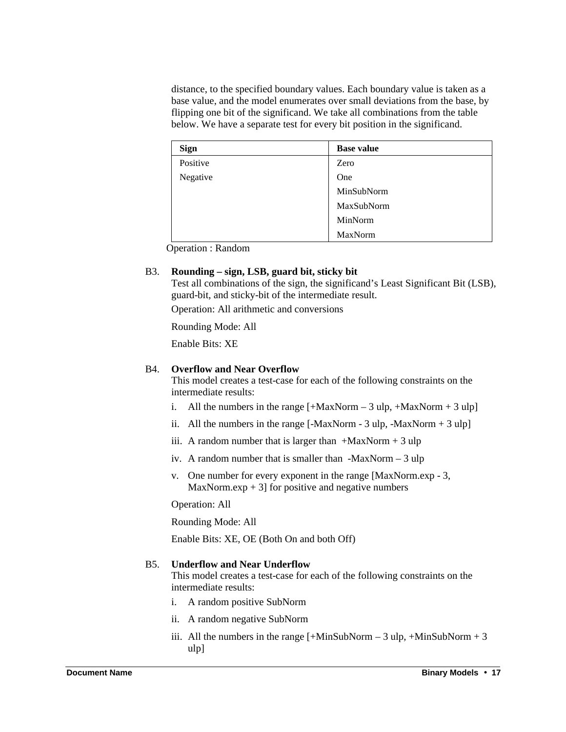distance, to the specified boundary values. Each boundary value is taken as a base value, and the model enumerates over small deviations from the base, by flipping one bit of the significand. We take all combinations from the table below. We have a separate test for every bit position in the significand.

| <b>Sign</b> | <b>Base value</b> |
|-------------|-------------------|
| Positive    | Zero              |
| Negative    | One               |
|             | MinSubNorm        |
|             | MaxSubNorm        |
|             | MinNorm           |
|             | MaxNorm           |

Operation : Random

#### B3. **Rounding – sign, LSB, guard bit, sticky bit**

Test all combinations of the sign, the significand's Least Significant Bit (LSB), guard-bit, and sticky-bit of the intermediate result.

Operation: All arithmetic and conversions

Rounding Mode: All

Enable Bits: XE

#### B4. **Overflow and Near Overflow**

This model creates a test-case for each of the following constraints on the intermediate results:

- i. All the numbers in the range  $[+MaxNorm 3 ulp, +MaxNorm + 3 ulp]$
- ii. All the numbers in the range  $[-MaxNorm 3 ulp, -MaxNorm + 3 ulp]$
- iii. A random number that is larger than  $+{\text{MaxNorm}} + 3$  ulp
- iv. A random number that is smaller than  $-MaxNorm 3 ulp$
- v. One number for every exponent in the range [MaxNorm.exp 3, MaxNorm.exp  $+ 3$ ] for positive and negative numbers

Operation: All

Rounding Mode: All

Enable Bits: XE, OE (Both On and both Off)

#### B5. **Underflow and Near Underflow**

This model creates a test-case for each of the following constraints on the intermediate results:

- i. A random positive SubNorm
- ii. A random negative SubNorm
- iii. All the numbers in the range  $[+MinSubNorm 3 ulp, +MinSubNorm + 3$ ulp]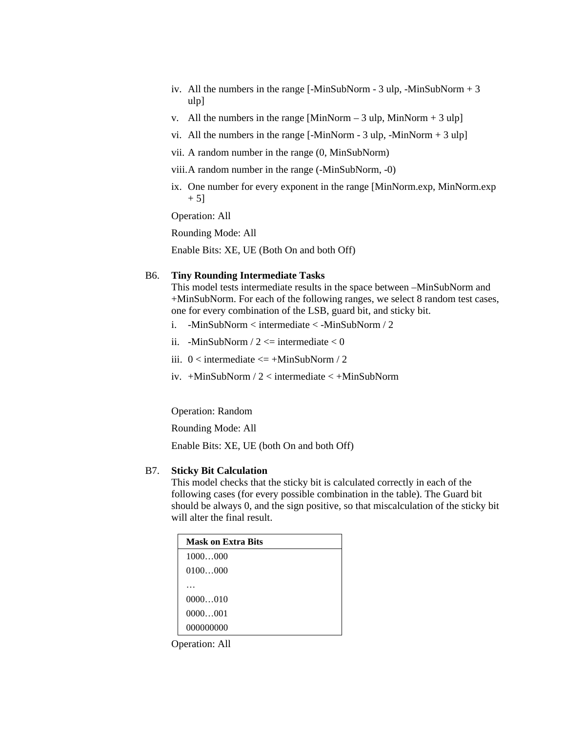- iv. All the numbers in the range  $[-MinSubNorm 3 ulp, -MinSubNorm + 3$ ulp]
- v. All the numbers in the range [MinNorm 3 ulp, MinNorm + 3 ulp]
- vi. All the numbers in the range  $[-MinNorm 3 ulp, -MinNorm + 3 ulp]$
- vii. A random number in the range (0, MinSubNorm)
- viii.A random number in the range (-MinSubNorm, -0)
- ix. One number for every exponent in the range [MinNorm.exp, MinNorm.exp  $+ 5]$

Operation: All

Rounding Mode: All

Enable Bits: XE, UE (Both On and both Off)

#### B6. **Tiny Rounding Intermediate Tasks**

This model tests intermediate results in the space between –MinSubNorm and +MinSubNorm. For each of the following ranges, we select 8 random test cases, one for every combination of the LSB, guard bit, and sticky bit.

- i. -MinSubNorm < intermediate < -MinSubNorm / 2
- ii. -MinSubNorm /  $2 \le$  intermediate  $\le 0$
- iii.  $0 \leq$  intermediate  $\leq$  +MinSubNorm / 2
- iv. +MinSubNorm / 2 < intermediate < +MinSubNorm

Operation: Random

Rounding Mode: All

Enable Bits: XE, UE (both On and both Off)

#### B7. **Sticky Bit Calculation**

This model checks that the sticky bit is calculated correctly in each of the following cases (for every possible combination in the table). The Guard bit should be always 0, and the sign positive, so that miscalculation of the sticky bit will alter the final result.

| Mask on Extra Bits |  |
|--------------------|--|
| 1000000            |  |
| 0100000            |  |
|                    |  |
| 0000010            |  |
| 0000001            |  |
| 000000000          |  |

Operation: All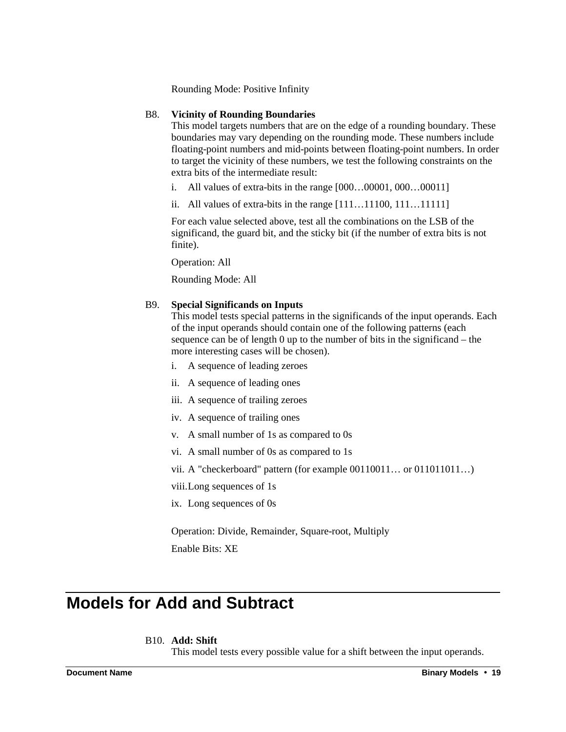Rounding Mode: Positive Infinity

#### B8. **Vicinity of Rounding Boundaries**

This model targets numbers that are on the edge of a rounding boundary. These boundaries may vary depending on the rounding mode. These numbers include floating-point numbers and mid-points between floating-point numbers. In order to target the vicinity of these numbers, we test the following constraints on the extra bits of the intermediate result:

- i. All values of extra-bits in the range [000…00001, 000…00011]
- ii. All values of extra-bits in the range [111…11100, 111…11111]

For each value selected above, test all the combinations on the LSB of the significand, the guard bit, and the sticky bit (if the number of extra bits is not finite).

Operation: All

Rounding Mode: All

#### B9. **Special Significands on Inputs**

This model tests special patterns in the significands of the input operands. Each of the input operands should contain one of the following patterns (each sequence can be of length 0 up to the number of bits in the significand – the more interesting cases will be chosen).

- i. A sequence of leading zeroes
- ii. A sequence of leading ones
- iii. A sequence of trailing zeroes
- iv. A sequence of trailing ones
- v. A small number of 1s as compared to 0s
- vi. A small number of 0s as compared to 1s
- vii. A "checkerboard" pattern (for example 00110011… or 011011011…)

viii.Long sequences of 1s

ix. Long sequences of 0s

Operation: Divide, Remainder, Square-root, Multiply Enable Bits: XE

# **Models for Add and Subtract**

#### B10. **Add: Shift**

This model tests every possible value for a shift between the input operands.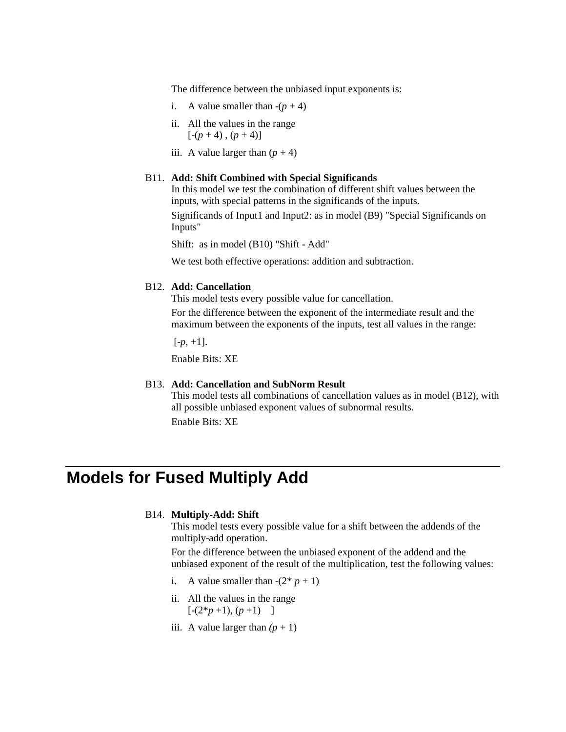The difference between the unbiased input exponents is:

- i. A value smaller than  $-(p + 4)$
- ii. All the values in the range  $[-(p+4), (p+4)]$
- iii. A value larger than  $(p + 4)$

#### B11. **Add: Shift Combined with Special Significands**

In this model we test the combination of different shift values between the inputs, with special patterns in the significands of the inputs.

Significands of Input1 and Input2: as in model (B9) "Special Significands on Inputs"

Shift: as in model (B10) "Shift - Add"

We test both effective operations: addition and subtraction.

#### B12. **Add: Cancellation**

This model tests every possible value for cancellation.

For the difference between the exponent of the intermediate result and the maximum between the exponents of the inputs, test all values in the range:

 $[-p, +1]$ .

Enable Bits: XE

#### B13. **Add: Cancellation and SubNorm Result**

This model tests all combinations of cancellation values as in model (B12), with all possible unbiased exponent values of subnormal results. Enable Bits: XE

## **Models for Fused Multiply Add**

#### B14. **Multiply-Add: Shift**

This model tests every possible value for a shift between the addends of the multiply-add operation.

For the difference between the unbiased exponent of the addend and the unbiased exponent of the result of the multiplication, test the following values:

- i. A value smaller than  $-(2^* p + 1)$
- ii. All the values in the range  $[-(2*p+1), (p+1)]$
- iii. A value larger than  $(p + 1)$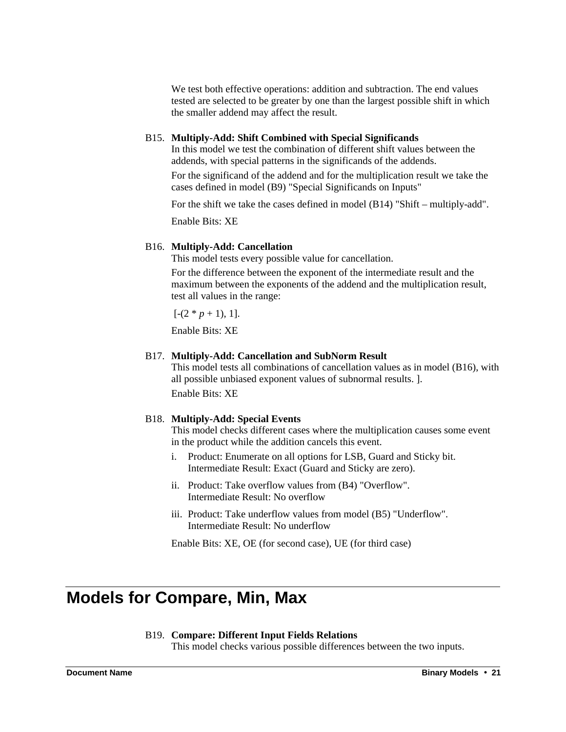We test both effective operations: addition and subtraction. The end values tested are selected to be greater by one than the largest possible shift in which the smaller addend may affect the result.

#### B15. **Multiply-Add: Shift Combined with Special Significands**

In this model we test the combination of different shift values between the addends, with special patterns in the significands of the addends. For the significand of the addend and for the multiplication result we take the

cases defined in model (B9) "Special Significands on Inputs"

For the shift we take the cases defined in model (B14) "Shift – multiply-add".

Enable Bits: XE

#### B16. **Multiply-Add: Cancellation**

This model tests every possible value for cancellation.

For the difference between the exponent of the intermediate result and the maximum between the exponents of the addend and the multiplication result, test all values in the range:

 $[-(2 * p + 1), 1].$ 

Enable Bits: XE

#### B17. **Multiply-Add: Cancellation and SubNorm Result**

This model tests all combinations of cancellation values as in model (B16), with all possible unbiased exponent values of subnormal results. ]. Enable Bits: XE

#### B18. **Multiply-Add: Special Events**

This model checks different cases where the multiplication causes some event in the product while the addition cancels this event.

- i. Product: Enumerate on all options for LSB, Guard and Sticky bit. Intermediate Result: Exact (Guard and Sticky are zero).
- ii. Product: Take overflow values from (B4) "Overflow". Intermediate Result: No overflow
- iii. Product: Take underflow values from model (B5) "Underflow". Intermediate Result: No underflow

Enable Bits: XE, OE (for second case), UE (for third case)

## **Models for Compare, Min, Max**

#### B19. **Compare: Different Input Fields Relations**

This model checks various possible differences between the two inputs.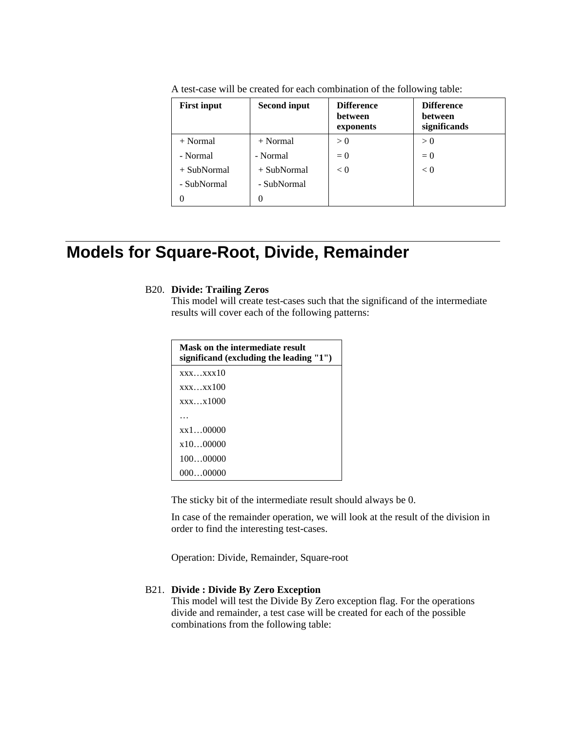| <b>First input</b> | <b>Second input</b> | <b>Difference</b><br>between<br>exponents | <b>Difference</b><br>between<br>significands |
|--------------------|---------------------|-------------------------------------------|----------------------------------------------|
| $+ Normal$         | $+$ Normal          | > 0                                       | > 0                                          |
| - Normal           | - Normal            | $= 0$                                     | $= 0$                                        |
| $+$ SubNormal      | $+$ SubNormal       | < 0                                       | < 0                                          |
| - SubNormal        | - SubNormal         |                                           |                                              |
| 0                  | 0                   |                                           |                                              |

A test-case will be created for each combination of the following table:

## **Models for Square-Root, Divide, Remainder**

#### B20. **Divide: Trailing Zeros**

This model will create test-cases such that the significand of the intermediate results will cover each of the following patterns:

| Mask on the intermediate result<br>significand (excluding the leading "1") |
|----------------------------------------------------------------------------|
| xxxxx10                                                                    |
| xxxxx100                                                                   |
| $\overline{\text{XXX}} \dots \overline{\text{X}} 1000$                     |
|                                                                            |
| $x \times 1$ 00000                                                         |
| x1000000                                                                   |
| 10000000                                                                   |
| 00000000                                                                   |

The sticky bit of the intermediate result should always be 0.

In case of the remainder operation, we will look at the result of the division in order to find the interesting test-cases.

Operation: Divide, Remainder, Square-root

#### B21. **Divide : Divide By Zero Exception**

This model will test the Divide By Zero exception flag. For the operations divide and remainder, a test case will be created for each of the possible combinations from the following table: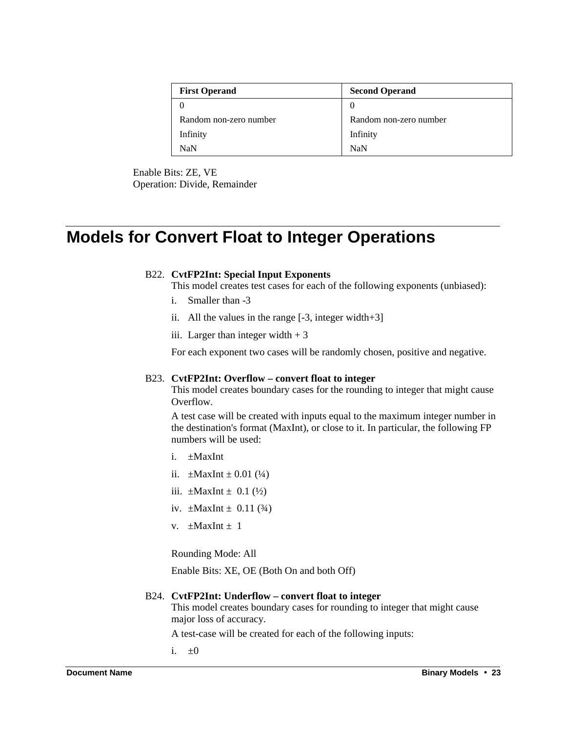| <b>First Operand</b>   | <b>Second Operand</b>  |  |
|------------------------|------------------------|--|
|                        | $\theta$               |  |
| Random non-zero number | Random non-zero number |  |
| Infinity               | Infinity               |  |
| NaN                    | <b>NaN</b>             |  |

Enable Bits: ZE, VE Operation: Divide, Remainder

# **Models for Convert Float to Integer Operations**

#### B22. **CvtFP2Int: Special Input Exponents**

This model creates test cases for each of the following exponents (unbiased):

- i. Smaller than -3
- ii. All the values in the range [-3, integer width+3]
- iii. Larger than integer width  $+3$

For each exponent two cases will be randomly chosen, positive and negative.

#### B23. **CvtFP2Int: Overflow – convert float to integer**

This model creates boundary cases for the rounding to integer that might cause Overflow.

A test case will be created with inputs equal to the maximum integer number in the destination's format (MaxInt), or close to it. In particular, the following FP numbers will be used:

- i.  $\pm$ MaxInt
- ii.  $\pm$ MaxInt  $\pm$  0.01 (1/4)
- iii.  $\pm$ MaxInt  $\pm$  0.1 ( $\frac{1}{2}$ )
- iv.  $\pm$ MaxInt  $\pm$  0.11 (3/4)
- $v. +$ MaxInt + 1

Rounding Mode: All

Enable Bits: XE, OE (Both On and both Off)

#### B24. **CvtFP2Int: Underflow – convert float to integer**

This model creates boundary cases for rounding to integer that might cause major loss of accuracy.

A test-case will be created for each of the following inputs:

i.  $\pm 0$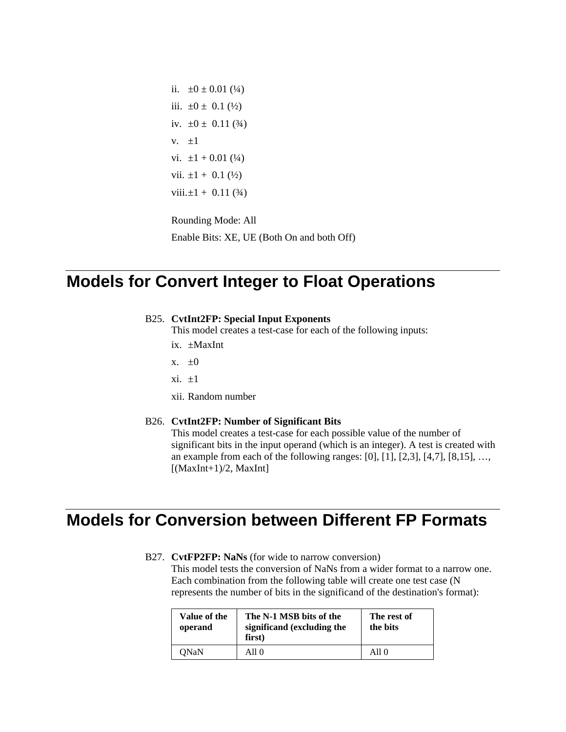ii.  $\pm 0 \pm 0.01$  (1/4) iii.  $\pm 0 \pm 0.1$  ( $\frac{1}{2}$ ) iv.  $\pm 0 \pm 0.11$  (3/4) v.  $\pm 1$ vi.  $\pm 1 + 0.01$  (1/4) vii.  $\pm 1 + 0.1$  ( $\frac{1}{2}$ ) viii. $\pm 1 + 0.11$  (3/4)

Rounding Mode: All Enable Bits: XE, UE (Both On and both Off)

### **Models for Convert Integer to Float Operations**

#### B25. **CvtInt2FP: Special Input Exponents**

This model creates a test-case for each of the following inputs:

- ix. ±MaxInt
- x.  $\pm 0$
- $xi. \pm 1$
- xii. Random number

#### B26. **CvtInt2FP: Number of Significant Bits**

This model creates a test-case for each possible value of the number of significant bits in the input operand (which is an integer). A test is created with an example from each of the following ranges:  $[0]$ ,  $[1]$ ,  $[2,3]$ ,  $[4,7]$ ,  $[8,15]$ , ...,  $[(MaxInt+1)/2, MaxInt]$ 

### **Models for Conversion between Different FP Formats**

B27. **CvtFP2FP: NaNs** (for wide to narrow conversion) This model tests the conversion of NaNs from a wider format to a narrow one.

Each combination from the following table will create one test case (N represents the number of bits in the significand of the destination's format):

| Value of the<br>operand | The N-1 MSB bits of the<br>significand (excluding the<br>first) | The rest of<br>the bits |
|-------------------------|-----------------------------------------------------------------|-------------------------|
| <b>ONaN</b>             | A11 0                                                           | All $\theta$            |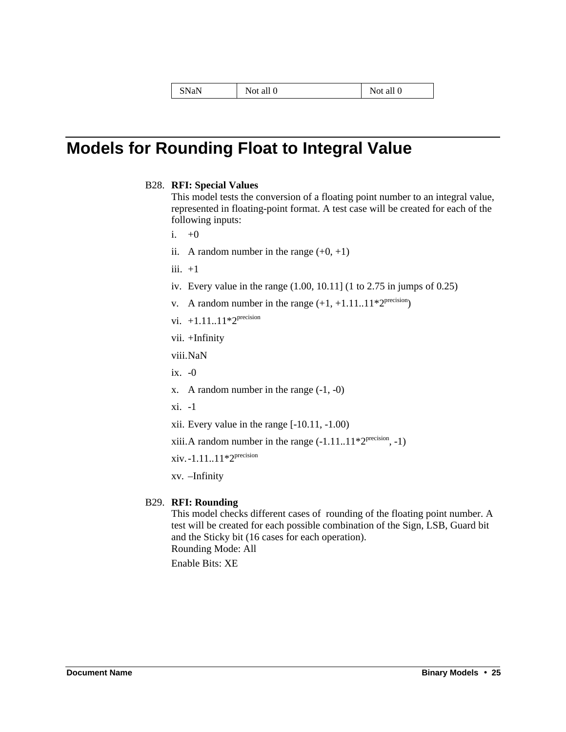| SNaN | $cal$ all $\Gamma$<br>Not | Not all 0 |
|------|---------------------------|-----------|
|------|---------------------------|-----------|

## **Models for Rounding Float to Integral Value**

B28. **RFI: Special Values**

This model tests the conversion of a floating point number to an integral value, represented in floating-point format. A test case will be created for each of the following inputs:

i.  $+0$ 

- ii. A random number in the range  $(+0, +1)$
- iii.  $+1$
- iv. Every value in the range (1.00, 10.11] (1 to 2.75 in jumps of 0.25)
- v. A random number in the range  $(+1, +1.11..11*2^{\text{precision}})$
- vi.  $+1.11..11*2^{precision}$
- vii. +Infinity

viii.NaN

- ix. -0
- x. A random number in the range (-1, -0)
- xi. -1
- xii. Every value in the range [-10.11, -1.00)

xiii. A random number in the range  $(-1.11..11 \cdot 2^{\text{precision}}, -1)$ 

xiv.-1.11..11\*2precision

xv. –Infinity

#### B29. **RFI: Rounding**

This model checks different cases of rounding of the floating point number. A test will be created for each possible combination of the Sign, LSB, Guard bit and the Sticky bit (16 cases for each operation). Rounding Mode: All Enable Bits: XE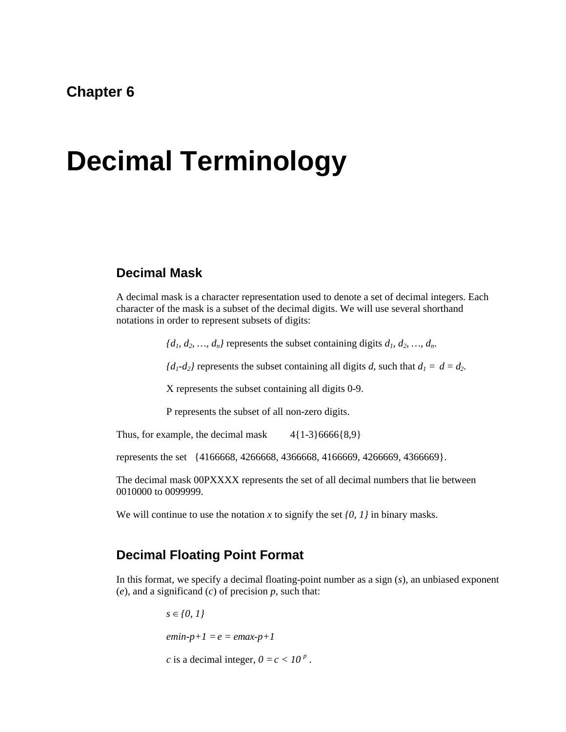### **Chapter 6**

# **Decimal Terminology**

### **Decimal Mask**

A decimal mask is a character representation used to denote a set of decimal integers. Each character of the mask is a subset of the decimal digits. We will use several shorthand notations in order to represent subsets of digits:

 ${d_1, d_2, ..., d_n}$  represents the subset containing digits  $d_1, d_2, ..., d_n$ .

 ${d_1-d_2}$  represents the subset containing all digits *d*, such that  $d_1 = d = d_2$ .

X represents the subset containing all digits 0-9.

P represents the subset of all non-zero digits.

Thus, for example, the decimal mask  $4{1-3}6666{8,9}$ 

represents the set {4166668, 4266668, 4366668, 4166669, 4266669, 4366669}.

The decimal mask 00PXXXX represents the set of all decimal numbers that lie between 0010000 to 0099999.

We will continue to use the notation *x* to signify the set *{0, 1}* in binary masks.

### **Decimal Floating Point Format**

In this format, we specify a decimal floating-point number as a sign (*s*), an unbiased exponent (*e*), and a significand (*c*) of precision *p*, such that:

> $s \in \{0, 1\}$  $emin-p+1 = e = emax-p+1$ *c* is a decimal integer,  $0 = c < 10^p$ .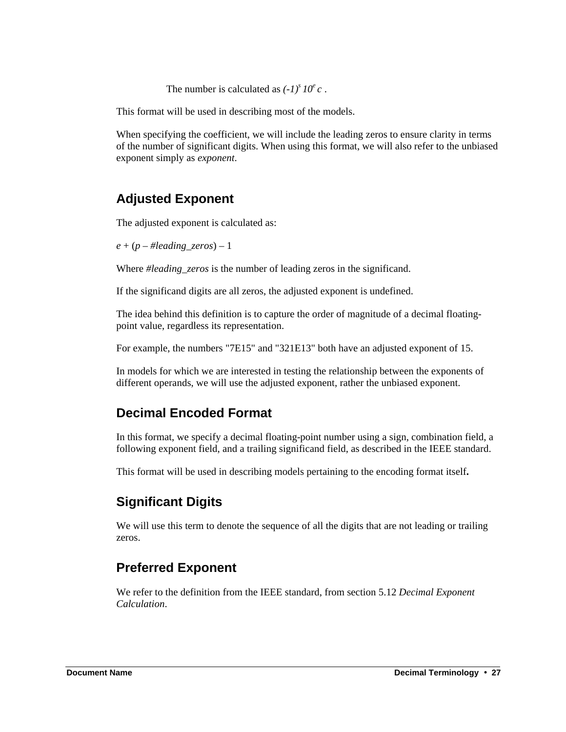The number is calculated as  $(-1)^s 10^e c$ .

This format will be used in describing most of the models.

When specifying the coefficient, we will include the leading zeros to ensure clarity in terms of the number of significant digits. When using this format, we will also refer to the unbiased exponent simply as *exponent*.

### **Adjusted Exponent**

The adjusted exponent is calculated as:

 $e + (p - \# leading\,\,\, zeros) - 1$ 

Where *#leading\_zeros* is the number of leading zeros in the significand.

If the significand digits are all zeros, the adjusted exponent is undefined.

The idea behind this definition is to capture the order of magnitude of a decimal floatingpoint value, regardless its representation.

For example, the numbers "7E15" and "321E13" both have an adjusted exponent of 15.

In models for which we are interested in testing the relationship between the exponents of different operands, we will use the adjusted exponent, rather the unbiased exponent.

### **Decimal Encoded Format**

In this format, we specify a decimal floating-point number using a sign, combination field, a following exponent field, and a trailing significand field, as described in the IEEE standard.

This format will be used in describing models pertaining to the encoding format itself**.**

### **Significant Digits**

We will use this term to denote the sequence of all the digits that are not leading or trailing zeros.

### **Preferred Exponent**

We refer to the definition from the IEEE standard, from section 5.12 *Decimal Exponent Calculation*.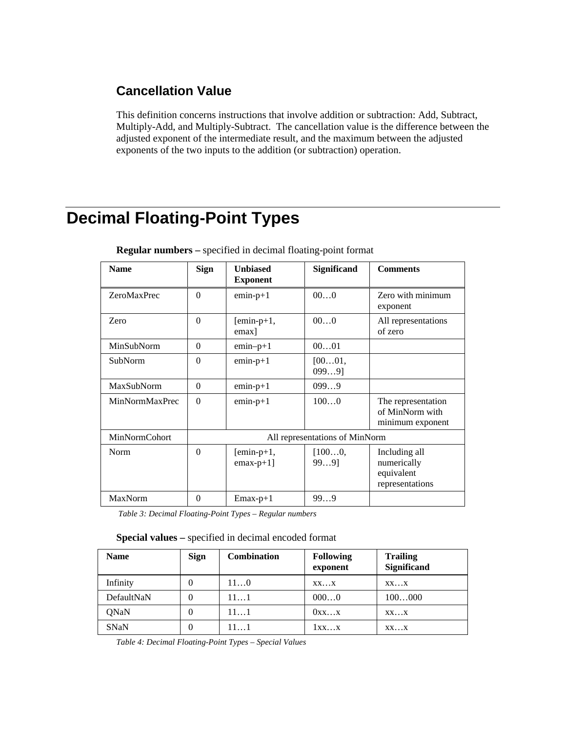### **Cancellation Value**

This definition concerns instructions that involve addition or subtraction: Add, Subtract, Multiply-Add, and Multiply-Subtract. The cancellation value is the difference between the adjusted exponent of the intermediate result, and the maximum between the adjusted exponents of the two inputs to the addition (or subtraction) operation.

# **Decimal Floating-Point Types**

| <b>Name</b>          | <b>Sign</b>                    | <b>Unbiased</b><br><b>Exponent</b> | Significand        | <b>Comments</b>                                               |
|----------------------|--------------------------------|------------------------------------|--------------------|---------------------------------------------------------------|
| <b>ZeroMaxPrec</b>   | $\Omega$                       | $emin-p+1$                         | 000                | Zero with minimum<br>exponent                                 |
| Zero                 | $\Omega$                       | $[emin-p+1,$<br>emax]              | 000                | All representations<br>of zero                                |
| MinSubNorm           | $\Omega$                       | $emin-p+1$                         | 0001               |                                                               |
| <b>SubNorm</b>       | $\Omega$                       | $emin-p+1$                         | [0001,<br>$0999$ ] |                                                               |
| MaxSubNorm           | $\Omega$                       | $emin-p+1$                         | 0999               |                                                               |
| MinNormMaxPrec       | $\Omega$                       | $emin-p+1$                         | 1000               | The representation<br>of MinNorm with<br>minimum exponent     |
| <b>MinNormCohort</b> | All representations of MinNorm |                                    |                    |                                                               |
| Norm                 | $\Omega$                       | $[emin-p+1,$<br>$emax-p+1$ ]       | [1000,<br>$999$ ]  | Including all<br>numerically<br>equivalent<br>representations |
| MaxNorm              | $\Omega$                       | $Emax-p+1$                         | 999                |                                                               |

**Regular numbers –** specified in decimal floating-point format

 *Table 3: Decimal Floating-Point Types – Regular numbers*

| Special values - specified in decimal encoded format |  |  |  |  |
|------------------------------------------------------|--|--|--|--|
|------------------------------------------------------|--|--|--|--|

| <b>Name</b> | <b>Sign</b> | <b>Combination</b> | <b>Following</b><br>exponent | <b>Trailing</b><br>Significand |
|-------------|-------------|--------------------|------------------------------|--------------------------------|
| Infinity    | U           | 110                | XXX                          | XXX                            |
| DefaultNaN  | $\theta$    | 111                | 0000                         | 100000                         |
| QNaN        | U           | 111                | 0xxx                         | $XX \dots X$                   |
| <b>SNaN</b> | 0           | 111                | 1xxx                         | XXX                            |

*Table 4: Decimal Floating-Point Types – Special Values*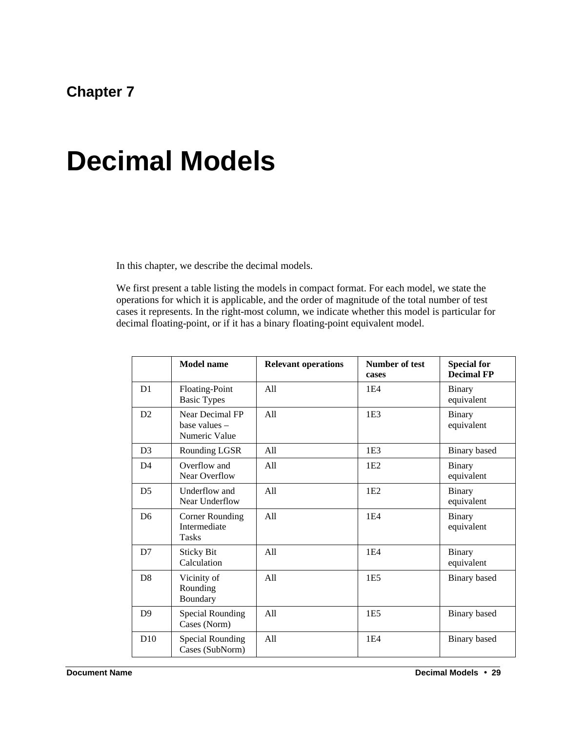### **Chapter 7**

# **Decimal Models**

In this chapter, we describe the decimal models.

We first present a table listing the models in compact format. For each model, we state the operations for which it is applicable, and the order of magnitude of the total number of test cases it represents. In the right-most column, we indicate whether this model is particular for decimal floating-point, or if it has a binary floating-point equivalent model.

|                | <b>Model name</b>                                 | <b>Relevant operations</b> | Number of test<br>cases | <b>Special for</b><br><b>Decimal FP</b> |
|----------------|---------------------------------------------------|----------------------------|-------------------------|-----------------------------------------|
| D <sub>1</sub> | Floating-Point<br><b>Basic Types</b>              | A11                        | 1E4                     | <b>Binary</b><br>equivalent             |
| D2             | Near Decimal FP<br>base values -<br>Numeric Value | A11                        | 1E <sub>3</sub>         | Binary<br>equivalent                    |
| D <sub>3</sub> | Rounding LGSR                                     | All                        | 1E <sub>3</sub>         | <b>Binary</b> based                     |
| D <sub>4</sub> | Overflow and<br>Near Overflow                     | A11                        | 1E2                     | <b>Binary</b><br>equivalent             |
| D <sub>5</sub> | Underflow and<br>Near Underflow                   | All                        | 1E2                     | <b>Binary</b><br>equivalent             |
| D <sub>6</sub> | Corner Rounding<br>Intermediate<br><b>Tasks</b>   | All                        | 1E4                     | <b>Binary</b><br>equivalent             |
| D7             | <b>Sticky Bit</b><br>Calculation                  | All                        | 1E4                     | Binary<br>equivalent                    |
| D <sub>8</sub> | Vicinity of<br>Rounding<br>Boundary               | A11                        | 1E <sub>5</sub>         | <b>Binary</b> based                     |
| D <sup>9</sup> | Special Rounding<br>Cases (Norm)                  | A11                        | 1E <sub>5</sub>         | <b>Binary</b> based                     |
| D10            | Special Rounding<br>Cases (SubNorm)               | A11                        | 1E4                     | Binary based                            |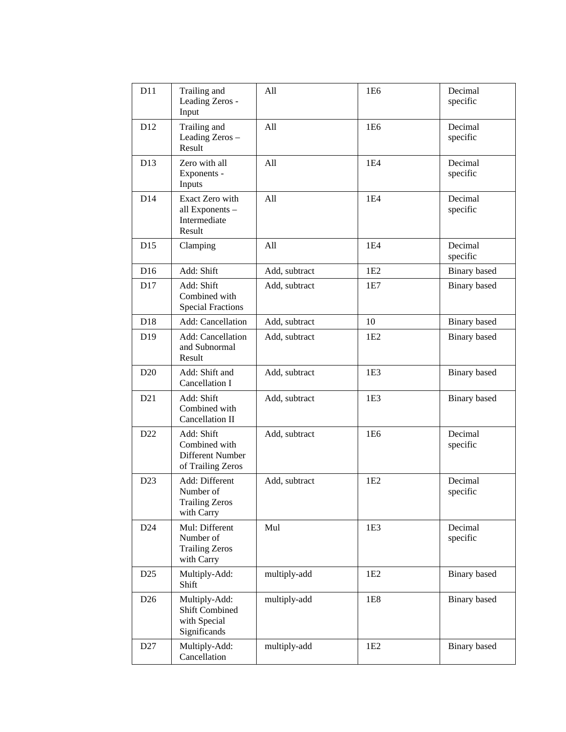| D11             | Trailing and<br>Leading Zeros -<br>Input                               | All           | 1E6             | Decimal<br>specific |
|-----------------|------------------------------------------------------------------------|---------------|-----------------|---------------------|
| D <sub>12</sub> | Trailing and<br>Leading Zeros -<br>Result                              | All           | 1E <sub>6</sub> | Decimal<br>specific |
| D <sub>13</sub> | Zero with all<br>Exponents -<br>Inputs                                 | All           | 1E4             | Decimal<br>specific |
| D14             | Exact Zero with<br>all Exponents -<br>Intermediate<br>Result           | All           | 1E4             | Decimal<br>specific |
| D15             | Clamping                                                               | All           | 1E4             | Decimal<br>specific |
| D <sub>16</sub> | Add: Shift                                                             | Add, subtract | 1E2             | <b>Binary</b> based |
| D17             | Add: Shift<br>Combined with<br><b>Special Fractions</b>                | Add, subtract | 1E7             | <b>Binary</b> based |
| D <sub>18</sub> | <b>Add:</b> Cancellation                                               | Add, subtract | 10              | Binary based        |
| D <sub>19</sub> | Add: Cancellation<br>and Subnormal<br>Result                           | Add, subtract | 1E2             | Binary based        |
| D20             | Add: Shift and<br>Cancellation I                                       | Add, subtract | 1E3             | Binary based        |
| D21             | Add: Shift<br>Combined with<br>Cancellation II                         | Add, subtract | 1E <sub>3</sub> | <b>Binary</b> based |
| D <sub>22</sub> | Add: Shift<br>Combined with<br>Different Number<br>of Trailing Zeros   | Add, subtract | 1E <sub>6</sub> | Decimal<br>specific |
| D23             | Add: Different<br>Number of<br><b>Trailing Zeros</b><br>with Carry     | Add, subtract | 1E2             | Decimal<br>specific |
| D <sub>24</sub> | Mul: Different<br>Number of<br><b>Trailing Zeros</b><br>with Carry     | Mul           | 1E3             | Decimal<br>specific |
| D <sub>25</sub> | Multiply-Add:<br>Shift                                                 | multiply-add  | 1E2             | Binary based        |
| D <sub>26</sub> | Multiply-Add:<br><b>Shift Combined</b><br>with Special<br>Significands | multiply-add  | 1E8             | Binary based        |
| D <sub>27</sub> | Multiply-Add:<br>Cancellation                                          | multiply-add  | 1E2             | Binary based        |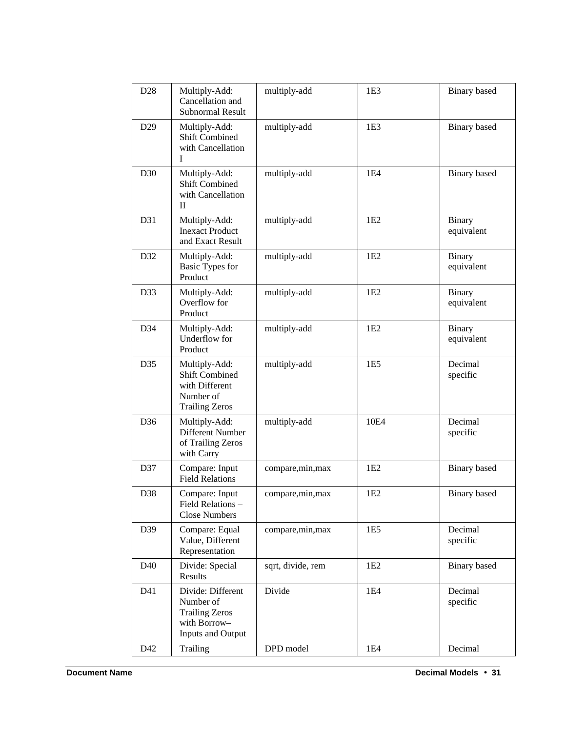| D <sub>28</sub> | Multiply-Add:<br>Cancellation and<br>Subnormal Result                                          | multiply-add      | 1E <sub>3</sub> | <b>Binary</b> based         |
|-----------------|------------------------------------------------------------------------------------------------|-------------------|-----------------|-----------------------------|
| D <sub>29</sub> | Multiply-Add:<br><b>Shift Combined</b><br>with Cancellation<br>I                               | multiply-add      | 1E <sub>3</sub> | <b>Binary</b> based         |
| D30             | Multiply-Add:<br><b>Shift Combined</b><br>with Cancellation<br>П                               | multiply-add      | 1E4             | <b>Binary</b> based         |
| D31             | Multiply-Add:<br><b>Inexact Product</b><br>and Exact Result                                    | multiply-add      | 1E2             | <b>Binary</b><br>equivalent |
| D32             | Multiply-Add:<br><b>Basic Types for</b><br>Product                                             | multiply-add      | 1E <sub>2</sub> | <b>Binary</b><br>equivalent |
| D33             | Multiply-Add:<br>Overflow for<br>Product                                                       | multiply-add      | 1E2             | Binary<br>equivalent        |
| D34             | Multiply-Add:<br>Underflow for<br>Product                                                      | multiply-add      | 1E2             | <b>Binary</b><br>equivalent |
| D35             | Multiply-Add:<br><b>Shift Combined</b><br>with Different<br>Number of<br><b>Trailing Zeros</b> | multiply-add      | 1E <sub>5</sub> | Decimal<br>specific         |
| D <sub>36</sub> | Multiply-Add:<br>Different Number<br>of Trailing Zeros<br>with Carry                           | multiply-add      | 10E4            | Decimal<br>specific         |
| D37             | Compare: Input<br><b>Field Relations</b>                                                       | compare, min, max | 1E2             | <b>Binary</b> based         |
| D38             | Compare: Input<br>Field Relations -<br><b>Close Numbers</b>                                    | compare, min, max | 1E <sub>2</sub> | <b>Binary</b> based         |
| D39             | Compare: Equal<br>Value, Different<br>Representation                                           | compare, min, max | 1E5             | Decimal<br>specific         |
| D40             | Divide: Special<br>Results                                                                     | sqrt, divide, rem | 1E <sub>2</sub> | Binary based                |
| D41             | Divide: Different<br>Number of<br><b>Trailing Zeros</b><br>with Borrow-<br>Inputs and Output   | Divide            | 1E4             | Decimal<br>specific         |
| D42             | Trailing                                                                                       | DPD model         | 1E4             | Decimal                     |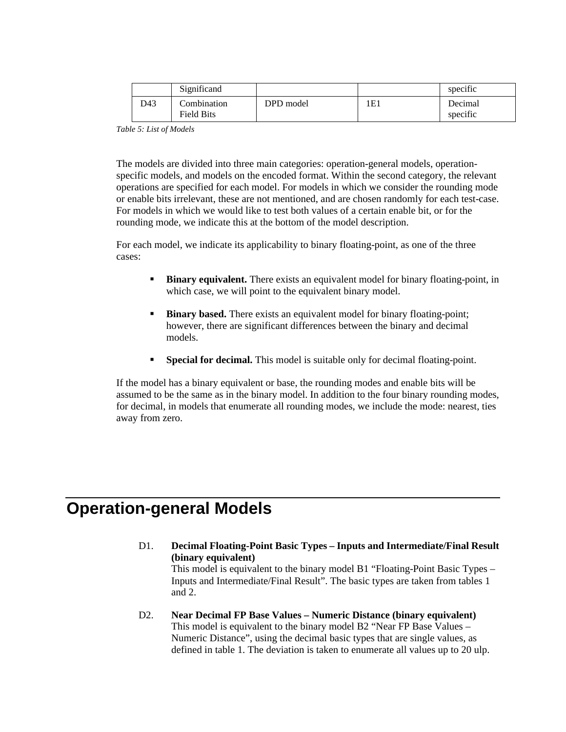|     | Significand                      |           |     | specific            |
|-----|----------------------------------|-----------|-----|---------------------|
| D43 | Combination<br><b>Field Bits</b> | DPD model | 1E1 | Decimal<br>specific |

*Table 5: List of Models*

The models are divided into three main categories: operation-general models, operationspecific models, and models on the encoded format. Within the second category, the relevant operations are specified for each model. For models in which we consider the rounding mode or enable bits irrelevant, these are not mentioned, and are chosen randomly for each test-case. For models in which we would like to test both values of a certain enable bit, or for the rounding mode, we indicate this at the bottom of the model description.

For each model, we indicate its applicability to binary floating-point, as one of the three cases:

- **Binary equivalent.** There exists an equivalent model for binary floating-point, in which case, we will point to the equivalent binary model.
- **Binary based.** There exists an equivalent model for binary floating-point; however, there are significant differences between the binary and decimal models.
- ß **Special for decimal.** This model is suitable only for decimal floating-point.

If the model has a binary equivalent or base, the rounding modes and enable bits will be assumed to be the same as in the binary model. In addition to the four binary rounding modes, for decimal, in models that enumerate all rounding modes, we include the mode: nearest, ties away from zero.

## **Operation-general Models**

D1. **Decimal Floating-Point Basic Types – Inputs and Intermediate/Final Result (binary equivalent)**

This model is equivalent to the binary model B1 "Floating-Point Basic Types – Inputs and Intermediate/Final Result". The basic types are taken from tables 1 and 2.

D2. **Near Decimal FP Base Values – Numeric Distance (binary equivalent)** This model is equivalent to the binary model B2 "Near FP Base Values – Numeric Distance", using the decimal basic types that are single values, as defined in table 1. The deviation is taken to enumerate all values up to 20 ulp.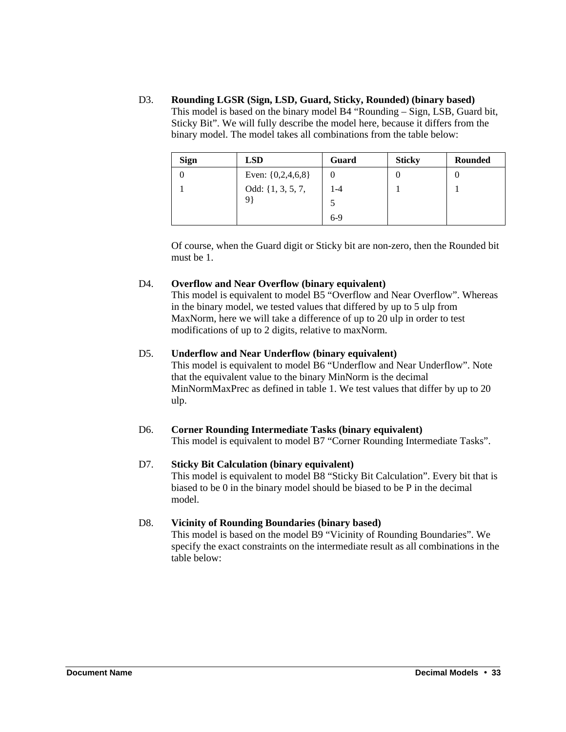D3. **Rounding LGSR (Sign, LSD, Guard, Sticky, Rounded) (binary based)** This model is based on the binary model B4 "Rounding – Sign, LSB, Guard bit, Sticky Bit". We will fully describe the model here, because it differs from the binary model. The model takes all combinations from the table below:

| <b>Sign</b> | <b>LSD</b>                | Guard | <b>Sticky</b> | <b>Rounded</b> |
|-------------|---------------------------|-------|---------------|----------------|
|             | Even: $\{0, 2, 4, 6, 8\}$ |       |               |                |
|             | Odd: $\{1, 3, 5, 7,$      | 1-4   |               |                |
|             | 9                         |       |               |                |
|             |                           | $6-9$ |               |                |

Of course, when the Guard digit or Sticky bit are non-zero, then the Rounded bit must be 1.

#### D4. **Overflow and Near Overflow (binary equivalent)**

This model is equivalent to model B5 "Overflow and Near Overflow". Whereas in the binary model, we tested values that differed by up to 5 ulp from MaxNorm, here we will take a difference of up to 20 ulp in order to test modifications of up to 2 digits, relative to maxNorm.

#### D5. **Underflow and Near Underflow (binary equivalent)**

This model is equivalent to model B6 "Underflow and Near Underflow". Note that the equivalent value to the binary MinNorm is the decimal MinNormMaxPrec as defined in table 1. We test values that differ by up to 20 ulp.

#### D6. **Corner Rounding Intermediate Tasks (binary equivalent)**

This model is equivalent to model B7 "Corner Rounding Intermediate Tasks".

#### D7. **Sticky Bit Calculation (binary equivalent)**

This model is equivalent to model B8 "Sticky Bit Calculation". Every bit that is biased to be 0 in the binary model should be biased to be P in the decimal model.

#### D8. **Vicinity of Rounding Boundaries (binary based)**

This model is based on the model B9 "Vicinity of Rounding Boundaries". We specify the exact constraints on the intermediate result as all combinations in the table below: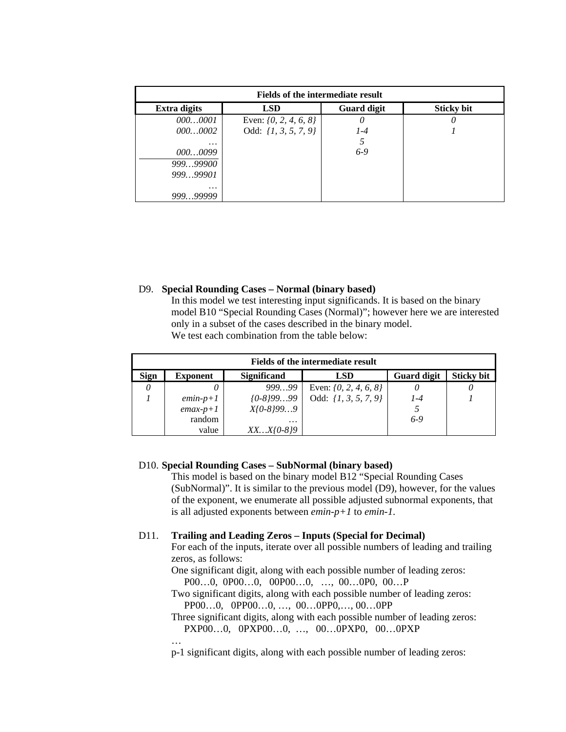| <b>Fields of the intermediate result</b> |                           |                    |                   |  |
|------------------------------------------|---------------------------|--------------------|-------------------|--|
| <b>Extra digits</b>                      | <b>LSD</b>                | <b>Guard digit</b> | <b>Sticky bit</b> |  |
| 0000001                                  | Even: $\{0, 2, 4, 6, 8\}$ | 0                  |                   |  |
| 0000002                                  | Odd: $\{1, 3, 5, 7, 9\}$  | $1 - 4$            |                   |  |
| $\cdots$                                 |                           |                    |                   |  |
| 0000099                                  |                           | $6-9$              |                   |  |
| 99999900                                 |                           |                    |                   |  |
| 99999901                                 |                           |                    |                   |  |
| .                                        |                           |                    |                   |  |
| 99999999                                 |                           |                    |                   |  |

#### D9. **Special Rounding Cases – Normal (binary based)**

In this model we test interesting input significands. It is based on the binary model B10 "Special Rounding Cases (Normal)"; however here we are interested only in a subset of the cases described in the binary model. We test each combination from the table below:

| <b>Fields of the intermediate result</b> |                 |                    |                           |                    |                   |
|------------------------------------------|-----------------|--------------------|---------------------------|--------------------|-------------------|
| <b>Sign</b>                              | <b>Exponent</b> | <b>Significand</b> | <b>LSD</b>                | <b>Guard digit</b> | <b>Sticky bit</b> |
| 0                                        |                 | 99999              | Even: $\{0, 2, 4, 6, 8\}$ |                    |                   |
|                                          | $emin-p+1$      | $(0-8)9999$        | Odd: $\{1, 3, 5, 7, 9\}$  | $1 - 4$            |                   |
|                                          | $emax-p+1$      | $X/0-8/999$        |                           |                    |                   |
|                                          | random          | $\cdots$           |                           | $6-9$              |                   |
|                                          | value           | $XXX/0-8/9$        |                           |                    |                   |

#### D10. **Special Rounding Cases – SubNormal (binary based)**

This model is based on the binary model B12 "Special Rounding Cases (SubNormal)". It is similar to the previous model (D9), however, for the values of the exponent, we enumerate all possible adjusted subnormal exponents, that is all adjusted exponents between *emin-p+1* to *emin-1*.

#### D11. **Trailing and Leading Zeros – Inputs (Special for Decimal)**

For each of the inputs, iterate over all possible numbers of leading and trailing zeros, as follows:

One significant digit, along with each possible number of leading zeros: P00…0, 0P00…0, 00P00…0, …, 00…0P0, 00…P

Two significant digits, along with each possible number of leading zeros: PP00…0, 0PP00…0, …, 00…0PP0,…, 00…0PP

Three significant digits, along with each possible number of leading zeros: PXP00…0, 0PXP00…0, …, 00…0PXP0, 00…0PXP

…

p-1 significant digits, along with each possible number of leading zeros: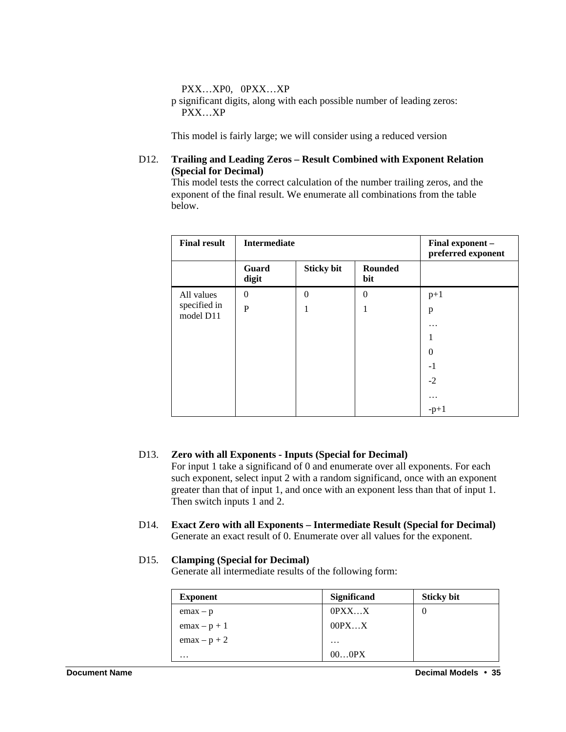PXX…XP0, 0PXX…XP

p significant digits, along with each possible number of leading zeros: PXX…XP

This model is fairly large; we will consider using a reduced version

#### D12. **Trailing and Leading Zeros – Result Combined with Exponent Relation (Special for Decimal)**

This model tests the correct calculation of the number trailing zeros, and the exponent of the final result. We enumerate all combinations from the table below.

| <b>Final result</b>       | <b>Intermediate</b> |                   |                | Final exponent -<br>preferred exponent |
|---------------------------|---------------------|-------------------|----------------|----------------------------------------|
|                           | Guard<br>digit      | <b>Sticky bit</b> | Rounded<br>bit |                                        |
| All values                | $\theta$            | $\Omega$          | $\theta$       | $p+1$                                  |
| specified in<br>model D11 | $\mathbf{P}$        | 1                 | 1              | p                                      |
|                           |                     |                   |                | $\ddotsc$                              |
|                           |                     |                   |                |                                        |
|                           |                     |                   |                | $\Omega$                               |
|                           |                     |                   |                | $-1$                                   |
|                           |                     |                   |                | $-2$                                   |
|                           |                     |                   |                | $\ddotsc$                              |
|                           |                     |                   |                | $-p+1$                                 |

#### D13. **Zero with all Exponents - Inputs (Special for Decimal)**

For input 1 take a significand of 0 and enumerate over all exponents. For each such exponent, select input 2 with a random significand, once with an exponent greater than that of input 1, and once with an exponent less than that of input 1. Then switch inputs 1 and 2.

D14. **Exact Zero with all Exponents – Intermediate Result (Special for Decimal)** Generate an exact result of 0. Enumerate over all values for the exponent.

#### D15. **Clamping (Special for Decimal)**

Generate all intermediate results of the following form:

| <b>Exponent</b> | <b>Significand</b> | <b>Sticky bit</b> |
|-----------------|--------------------|-------------------|
| $emax - p$      | $0$ $PXXX$         |                   |
| $emax - p + 1$  | 00PXX              |                   |
| $emax - p + 2$  | $\cdots$           |                   |
| $\cdots$        | 000PX              |                   |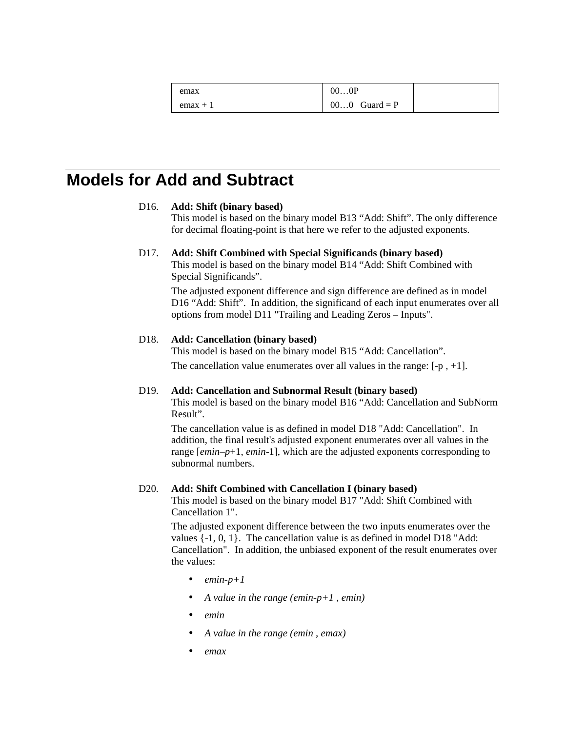| emax       | 000P            |  |
|------------|-----------------|--|
| $emax + 1$ | $000$ Guard = P |  |

### **Models for Add and Subtract**

#### D16. **Add: Shift (binary based)**

This model is based on the binary model B13 "Add: Shift". The only difference for decimal floating-point is that here we refer to the adjusted exponents.

#### D17. **Add: Shift Combined with Special Significands (binary based)**

This model is based on the binary model B14 "Add: Shift Combined with Special Significands".

The adjusted exponent difference and sign difference are defined as in model D16 "Add: Shift". In addition, the significand of each input enumerates over all options from model D11 "Trailing and Leading Zeros – Inputs".

#### D18. **Add: Cancellation (binary based)**

This model is based on the binary model B15 "Add: Cancellation". The cancellation value enumerates over all values in the range:  $[-p, +1]$ .

#### D19. **Add: Cancellation and Subnormal Result (binary based)**

This model is based on the binary model B16 "Add: Cancellation and SubNorm Result".

The cancellation value is as defined in model D18 "Add: Cancellation". In addition, the final result's adjusted exponent enumerates over all values in the range [*emin*–*p*+1, *emin*-1], which are the adjusted exponents corresponding to subnormal numbers.

#### D20. **Add: Shift Combined with Cancellation I (binary based)**

This model is based on the binary model B17 "Add: Shift Combined with Cancellation 1".

The adjusted exponent difference between the two inputs enumerates over the values {-1, 0, 1}. The cancellation value is as defined in model D18 "Add: Cancellation". In addition, the unbiased exponent of the result enumerates over the values:

- $\bullet$  *emin-p+1*
- *A value in the range (emin-p+1 , emin)*
- *emin*
- *A value in the range (emin , emax)*
- *emax*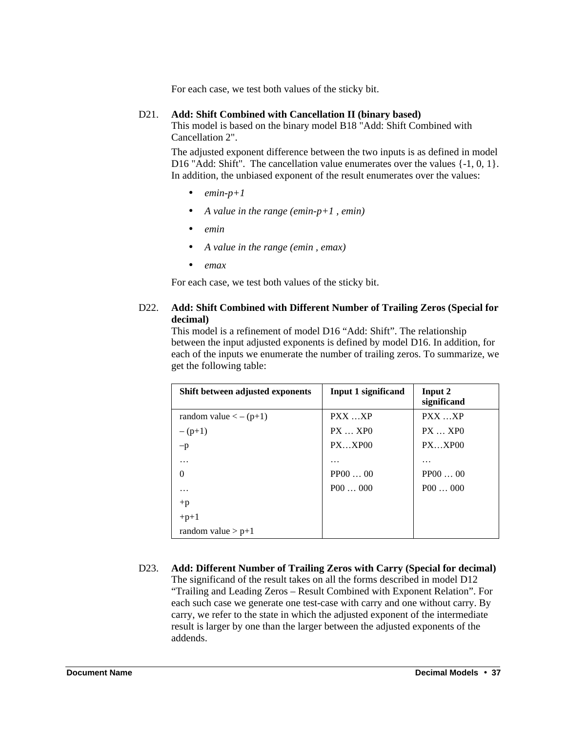For each case, we test both values of the sticky bit.

#### D21. **Add: Shift Combined with Cancellation II (binary based)**

This model is based on the binary model B18 "Add: Shift Combined with Cancellation 2".

The adjusted exponent difference between the two inputs is as defined in model D16 "Add: Shift". The cancellation value enumerates over the values  $\{-1, 0, 1\}$ . In addition, the unbiased exponent of the result enumerates over the values:

- $\bullet$  *emin-p+1*
- *A value in the range (emin-p+1 , emin)*
- *emin*
- *A value in the range (emin , emax)*
- *emax*

For each case, we test both values of the sticky bit.

#### D22. **Add: Shift Combined with Different Number of Trailing Zeros (Special for decimal)**

This model is a refinement of model D16 "Add: Shift". The relationship between the input adjusted exponents is defined by model D16. In addition, for each of the inputs we enumerate the number of trailing zeros. To summarize, we get the following table:

| Shift between adjusted exponents      | <b>Input 1 significand</b> | Input 2<br>significand |
|---------------------------------------|----------------------------|------------------------|
| random value $\langle -(p+1) \rangle$ | PXX XP                     | PXX XP                 |
| $-(p+1)$                              | $PX$ $XP()$                | $PX$ $XPO$             |
| $-p$                                  | $PX$ $XP00$                | $PX$ $XP00$            |
| .                                     | .                          | .                      |
| $\Omega$                              | PPO000                     | PPO000                 |
| .                                     | P00000                     | P00000                 |
| $+p$                                  |                            |                        |
| $+p+1$                                |                            |                        |
| random value $> p+1$                  |                            |                        |

D23. **Add: Different Number of Trailing Zeros with Carry (Special for decimal)** The significand of the result takes on all the forms described in model D12 "Trailing and Leading Zeros – Result Combined with Exponent Relation". For each such case we generate one test-case with carry and one without carry. By carry, we refer to the state in which the adjusted exponent of the intermediate result is larger by one than the larger between the adjusted exponents of the addends.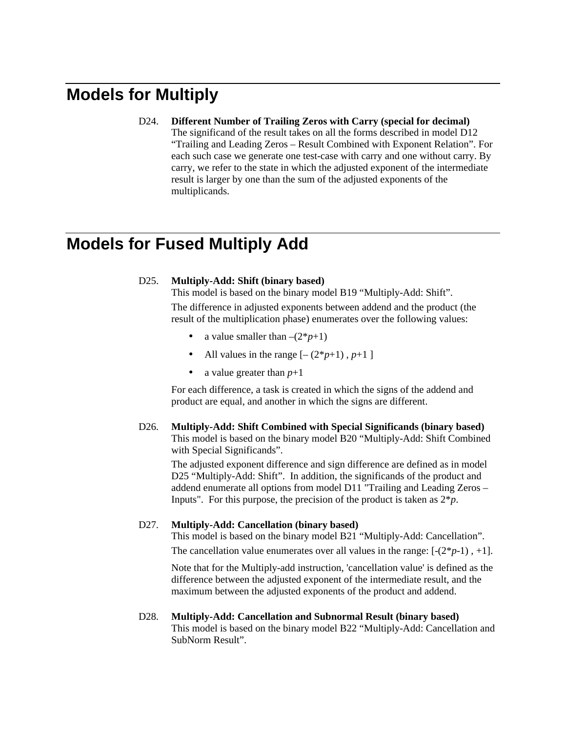# **Models for Multiply**

D24. **Different Number of Trailing Zeros with Carry (special for decimal)** The significand of the result takes on all the forms described in model D12 "Trailing and Leading Zeros – Result Combined with Exponent Relation". For each such case we generate one test-case with carry and one without carry. By carry, we refer to the state in which the adjusted exponent of the intermediate result is larger by one than the sum of the adjusted exponents of the multiplicands.

## **Models for Fused Multiply Add**

#### D25. **Multiply-Add: Shift (binary based)**

This model is based on the binary model B19 "Multiply-Add: Shift". The difference in adjusted exponents between addend and the product (the result of the multiplication phase) enumerates over the following values:

- a value smaller than  $-(2*p+1)$
- All values in the range  $[-(2^*p+1), p+1]$
- a value greater than  $p+1$

For each difference, a task is created in which the signs of the addend and product are equal, and another in which the signs are different.

D26. **Multiply-Add: Shift Combined with Special Significands (binary based)** This model is based on the binary model B20 "Multiply-Add: Shift Combined with Special Significands".

The adjusted exponent difference and sign difference are defined as in model D25 "Multiply-Add: Shift". In addition, the significands of the product and addend enumerate all options from model D11 "Trailing and Leading Zeros – Inputs". For this purpose, the precision of the product is taken as  $2 * p$ .

#### D27. **Multiply-Add: Cancellation (binary based)**

This model is based on the binary model B21 "Multiply-Add: Cancellation".

The cancellation value enumerates over all values in the range:  $[-(2<sup>*</sup>p-1)$ ,  $+1]$ .

Note that for the Multiply-add instruction, 'cancellation value' is defined as the difference between the adjusted exponent of the intermediate result, and the maximum between the adjusted exponents of the product and addend.

D28. **Multiply-Add: Cancellation and Subnormal Result (binary based)** This model is based on the binary model B22 "Multiply-Add: Cancellation and SubNorm Result".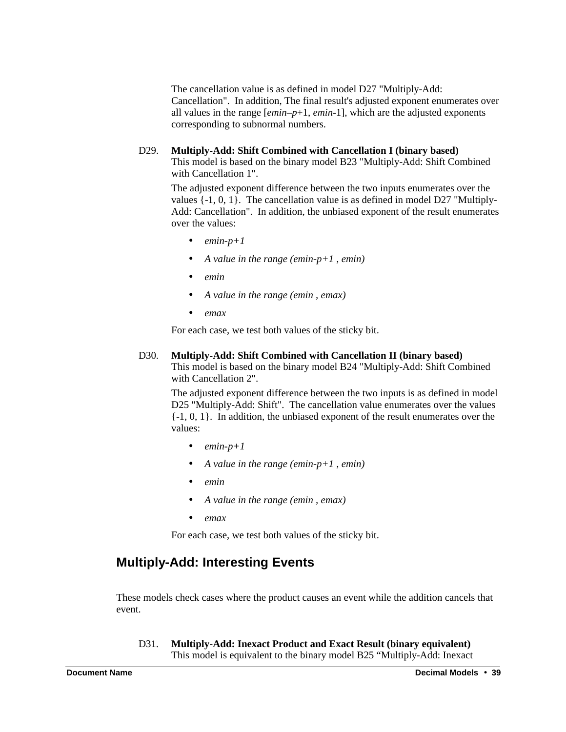The cancellation value is as defined in model D27 "Multiply-Add: Cancellation". In addition, The final result's adjusted exponent enumerates over all values in the range [*emin*–*p*+1, *emin*-1], which are the adjusted exponents corresponding to subnormal numbers.

#### D29. **Multiply-Add: Shift Combined with Cancellation I (binary based)**

This model is based on the binary model B23 "Multiply-Add: Shift Combined with Cancellation 1".

The adjusted exponent difference between the two inputs enumerates over the values {-1, 0, 1}. The cancellation value is as defined in model D27 "Multiply-Add: Cancellation". In addition, the unbiased exponent of the result enumerates over the values:

- $\bullet$  *emin-p+1*
- *A value in the range (emin-p+1 , emin)*
- *emin*
- *A value in the range (emin , emax)*
- *emax*

For each case, we test both values of the sticky bit.

#### D30. **Multiply-Add: Shift Combined with Cancellation II (binary based)**

This model is based on the binary model B24 "Multiply-Add: Shift Combined with Cancellation 2".

The adjusted exponent difference between the two inputs is as defined in model D25 "Multiply-Add: Shift". The cancellation value enumerates over the values  $\{-1, 0, 1\}$ . In addition, the unbiased exponent of the result enumerates over the values:

- $\bullet$  *emin-p+1*
- *A value in the range (emin-p+1 , emin)*
- *emin*
- *A value in the range (emin , emax)*
- *emax*

For each case, we test both values of the sticky bit.

### **Multiply-Add: Interesting Events**

These models check cases where the product causes an event while the addition cancels that event.

D31. **Multiply-Add: Inexact Product and Exact Result (binary equivalent)** This model is equivalent to the binary model B25 "Multiply-Add: Inexact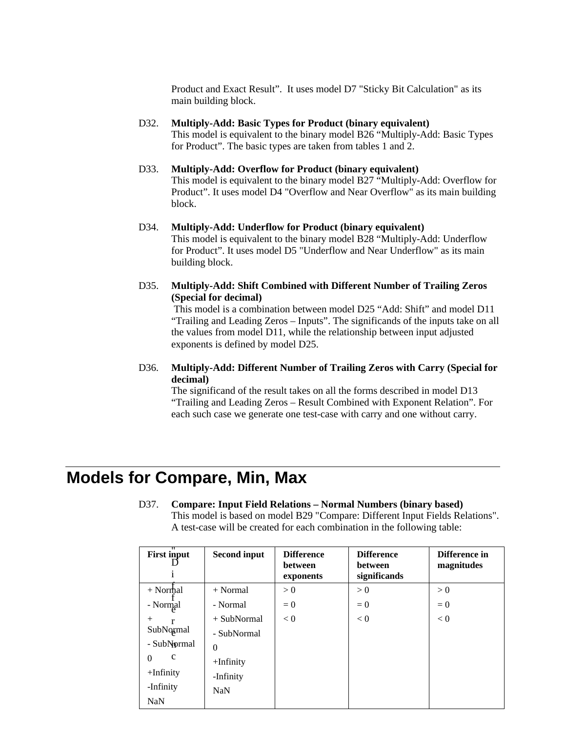Product and Exact Result". It uses model D7 "Sticky Bit Calculation" as its main building block.

- D32. **Multiply-Add: Basic Types for Product (binary equivalent)** This model is equivalent to the binary model B26 "Multiply-Add: Basic Types for Product". The basic types are taken from tables 1 and 2.
- D33. **Multiply-Add: Overflow for Product (binary equivalent)** This model is equivalent to the binary model B27 "Multiply-Add: Overflow for Product". It uses model D4 "Overflow and Near Overflow" as its main building block.
- D34. **Multiply-Add: Underflow for Product (binary equivalent)** This model is equivalent to the binary model B28 "Multiply-Add: Underflow for Product". It uses model D5 "Underflow and Near Underflow" as its main building block.
- D35. **Multiply-Add: Shift Combined with Different Number of Trailing Zeros (Special for decimal)**

This model is a combination between model D25 "Add: Shift" and model D11 "Trailing and Leading Zeros – Inputs". The significands of the inputs take on all the values from model D11, while the relationship between input adjusted exponents is defined by model D25.

D36. **Multiply-Add: Different Number of Trailing Zeros with Carry (Special for decimal)**

The significand of the result takes on all the forms described in model D13 "Trailing and Leading Zeros – Result Combined with Exponent Relation". For each such case we generate one test-case with carry and one without carry.

## **Models for Compare, Min, Max**

| π<br><b>First input</b> | <b>Second input</b> | <b>Difference</b><br><b>between</b><br>exponents | <b>Difference</b><br>between<br>significands | Difference in<br>magnitudes |
|-------------------------|---------------------|--------------------------------------------------|----------------------------------------------|-----------------------------|
| $+$ Normal              | $+ Normal$          | > 0                                              | > 0                                          | > 0                         |
| - Normal                | - Normal            | $= 0$                                            | $= 0$                                        | $= 0$                       |
| $^{+}$                  | $+$ SubNormal       | < 0                                              | < 0                                          | < 0                         |
| SubNormal               | - SubNormal         |                                                  |                                              |                             |
| - SubNormal             | $\theta$            |                                                  |                                              |                             |
| $\mathbf c$<br>$\Omega$ | $+$ Infinity        |                                                  |                                              |                             |
| $+$ Infinity            | -Infinity           |                                                  |                                              |                             |
| -Infinity               | <b>NaN</b>          |                                                  |                                              |                             |
| <b>NaN</b>              |                     |                                                  |                                              |                             |

D37. **Compare: Input Field Relations – Normal Numbers (binary based)** This model is based on model B29 "Compare: Different Input Fields Relations". A test-case will be created for each combination in the following table: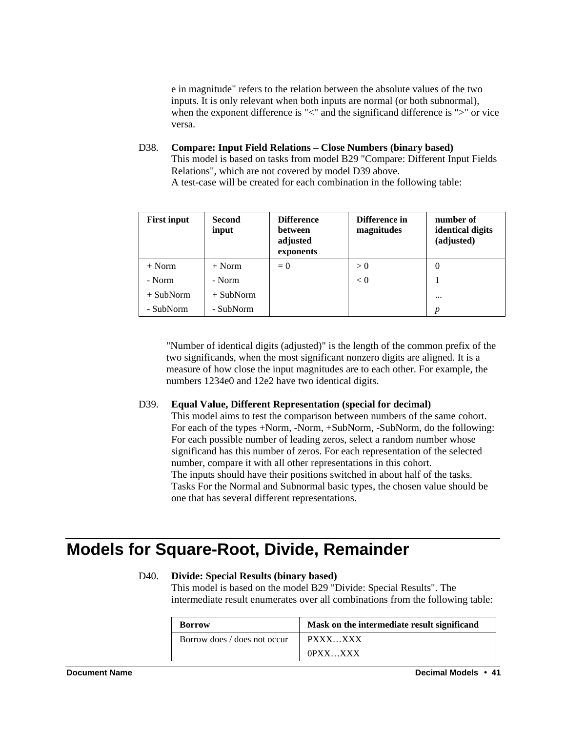e in magnitude" refers to the relation between the absolute values of the two inputs. It is only relevant when both inputs are normal (or both subnormal), when the exponent difference is "<" and the significand difference is ">" or vice versa.

D38. **Compare: Input Field Relations – Close Numbers (binary based)** This model is based on tasks from model B29 "Compare: Different Input Fields Relations", which are not covered by model D39 above. A test-case will be created for each combination in the following table:

| <b>First input</b> | <b>Second</b><br>input | <b>Difference</b><br>between<br>adjusted<br>exponents | Difference in<br>magnitudes | number of<br>identical digits<br>(adjusted) |
|--------------------|------------------------|-------------------------------------------------------|-----------------------------|---------------------------------------------|
| $+$ Norm           | $+$ Norm               | $= 0$                                                 | > 0                         | 0                                           |
| - Norm             | - Norm                 |                                                       | < 0                         |                                             |
| $+$ SubNorm        | $+$ SubNorm            |                                                       |                             | $\cdots$                                    |
| - SubNorm          | - SubNorm              |                                                       |                             | p                                           |

"Number of identical digits (adjusted)" is the length of the common prefix of the two significands, when the most significant nonzero digits are aligned. It is a measure of how close the input magnitudes are to each other. For example, the numbers 1234e0 and 12e2 have two identical digits.

#### D39. **Equal Value, Different Representation (special for decimal)**

This model aims to test the comparison between numbers of the same cohort. For each of the types +Norm, -Norm, +SubNorm, -SubNorm, do the following: For each possible number of leading zeros, select a random number whose significand has this number of zeros. For each representation of the selected number, compare it with all other representations in this cohort. The inputs should have their positions switched in about half of the tasks. Tasks For the Normal and Subnormal basic types, the chosen value should be one that has several different representations.

## **Models for Square-Root, Divide, Remainder**

#### D40. **Divide: Special Results (binary based)**

This model is based on the model B29 "Divide: Special Results". The intermediate result enumerates over all combinations from the following table:

| <b>Borrow</b>                | Mask on the intermediate result significand |
|------------------------------|---------------------------------------------|
| Borrow does / does not occur | PXXXXXX                                     |
|                              | OPXX XXX                                    |